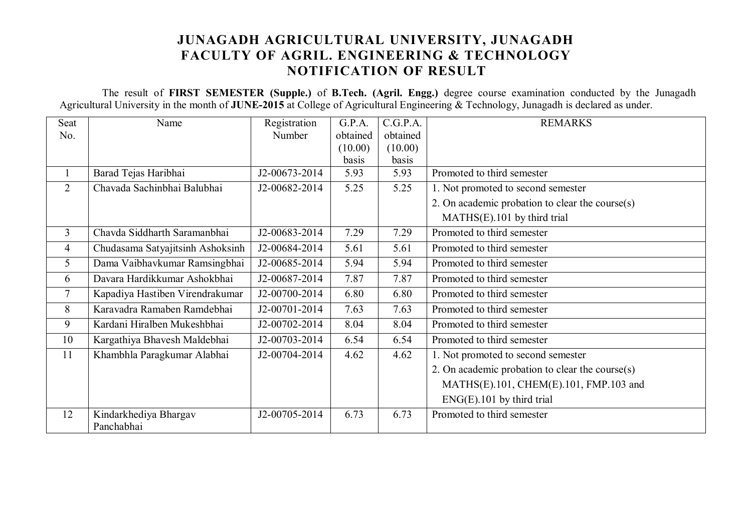## **JUNAGADH AGRICULTURAL UNIVERSITY, JUNAGADH FACULTY OF AGRIL. ENGINEERING & TECHNOLOGY NOTIFICATION OF RESULT**

 The result of **FIRST SEMESTER (Supple.)** of **B.Tech. (Agril. Engg.)** degree course examination conducted by the Junagadh Agricultural University in the month of **JUNE-2015** at College of Agricultural Engineering & Technology, Junagadh is declared as under.

| Seat           | Name                                | Registration  | G.P.A.   | C.G.P.A. | <b>REMARKS</b>                                  |
|----------------|-------------------------------------|---------------|----------|----------|-------------------------------------------------|
| No.            |                                     | Number        | obtained | obtained |                                                 |
|                |                                     |               | (10.00)  | (10.00)  |                                                 |
|                |                                     |               | basis    | basis    |                                                 |
|                | Barad Tejas Haribhai                | J2-00673-2014 | 5.93     | 5.93     | Promoted to third semester                      |
| $\overline{2}$ | Chavada Sachinbhai Balubhai         | J2-00682-2014 | 5.25     | 5.25     | 1. Not promoted to second semester              |
|                |                                     |               |          |          | 2. On academic probation to clear the course(s) |
|                |                                     |               |          |          | MATHS(E).101 by third trial                     |
| 3              | Chavda Siddharth Saramanbhai        | J2-00683-2014 | 7.29     | 7.29     | Promoted to third semester                      |
| 4              | Chudasama Satyajitsinh Ashoksinh    | J2-00684-2014 | 5.61     | 5.61     | Promoted to third semester                      |
| 5              | Dama Vaibhavkumar Ramsingbhai       | J2-00685-2014 | 5.94     | 5.94     | Promoted to third semester                      |
| 6              | Davara Hardikkumar Ashokbhai        | J2-00687-2014 | 7.87     | 7.87     | Promoted to third semester                      |
| $\tau$         | Kapadiya Hastiben Virendrakumar     | J2-00700-2014 | 6.80     | 6.80     | Promoted to third semester                      |
| 8              | Karavadra Ramaben Ramdebhai         | J2-00701-2014 | 7.63     | 7.63     | Promoted to third semester                      |
| 9              | Kardani Hiralben Mukeshbhai         | J2-00702-2014 | 8.04     | 8.04     | Promoted to third semester                      |
| 10             | Kargathiya Bhavesh Maldebhai        | J2-00703-2014 | 6.54     | 6.54     | Promoted to third semester                      |
| 11             | Khambhla Paragkumar Alabhai         | J2-00704-2014 | 4.62     | 4.62     | 1. Not promoted to second semester              |
|                |                                     |               |          |          | 2. On academic probation to clear the course(s) |
|                |                                     |               |          |          | MATHS(E).101, CHEM(E).101, FMP.103 and          |
|                |                                     |               |          |          | $ENG(E)$ .101 by third trial                    |
| 12             | Kindarkhediya Bhargav<br>Panchabhai | J2-00705-2014 | 6.73     | 6.73     | Promoted to third semester                      |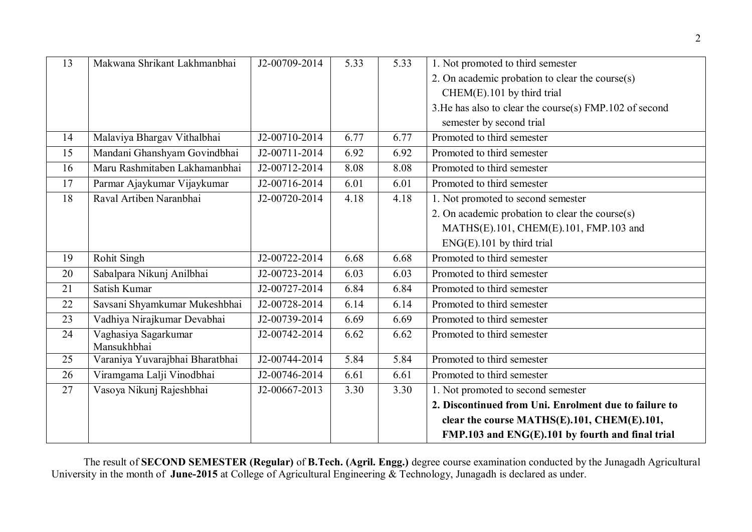| 13 | Makwana Shrikant Lakhmanbhai        | J2-00709-2014 | 5.33 | 5.33 | 1. Not promoted to third semester                        |
|----|-------------------------------------|---------------|------|------|----------------------------------------------------------|
|    |                                     |               |      |      | 2. On academic probation to clear the course(s)          |
|    |                                     |               |      |      | CHEM(E).101 by third trial                               |
|    |                                     |               |      |      | 3. He has also to clear the course(s) FMP. 102 of second |
|    |                                     |               |      |      | semester by second trial                                 |
| 14 | Malaviya Bhargav Vithalbhai         | J2-00710-2014 | 6.77 | 6.77 | Promoted to third semester                               |
| 15 | Mandani Ghanshyam Govindbhai        | J2-00711-2014 | 6.92 | 6.92 | Promoted to third semester                               |
| 16 | Maru Rashmitaben Lakhamanbhai       | J2-00712-2014 | 8.08 | 8.08 | Promoted to third semester                               |
| 17 | Parmar Ajaykumar Vijaykumar         | J2-00716-2014 | 6.01 | 6.01 | Promoted to third semester                               |
| 18 | Raval Artiben Naranbhai             | J2-00720-2014 | 4.18 | 4.18 | 1. Not promoted to second semester                       |
|    |                                     |               |      |      | 2. On academic probation to clear the course(s)          |
|    |                                     |               |      |      | MATHS(E).101, CHEM(E).101, FMP.103 and                   |
|    |                                     |               |      |      | $ENG(E)$ .101 by third trial                             |
| 19 | Rohit Singh                         | J2-00722-2014 | 6.68 | 6.68 | Promoted to third semester                               |
| 20 | Sabalpara Nikunj Anilbhai           | J2-00723-2014 | 6.03 | 6.03 | Promoted to third semester                               |
| 21 | Satish Kumar                        | J2-00727-2014 | 6.84 | 6.84 | Promoted to third semester                               |
| 22 | Savsani Shyamkumar Mukeshbhai       | J2-00728-2014 | 6.14 | 6.14 | Promoted to third semester                               |
| 23 | Vadhiya Nirajkumar Devabhai         | J2-00739-2014 | 6.69 | 6.69 | Promoted to third semester                               |
| 24 | Vaghasiya Sagarkumar<br>Mansukhbhai | J2-00742-2014 | 6.62 | 6.62 | Promoted to third semester                               |
| 25 | Varaniya Yuvarajbhai Bharatbhai     | J2-00744-2014 | 5.84 | 5.84 | Promoted to third semester                               |
| 26 | Viramgama Lalji Vinodbhai           | J2-00746-2014 | 6.61 | 6.61 | Promoted to third semester                               |
| 27 | Vasoya Nikunj Rajeshbhai            | J2-00667-2013 | 3.30 | 3.30 | 1. Not promoted to second semester                       |
|    |                                     |               |      |      | 2. Discontinued from Uni. Enrolment due to failure to    |
|    |                                     |               |      |      | clear the course MATHS(E).101, CHEM(E).101,              |
|    |                                     |               |      |      | FMP.103 and ENG(E).101 by fourth and final trial         |

The result of **SECOND SEMESTER (Regular)** of **B.Tech. (Agril. Engg.)** degree course examination conducted by the Junagadh Agricultural University in the month of **June-2015** at College of Agricultural Engineering & Technology, Junagadh is declared as under.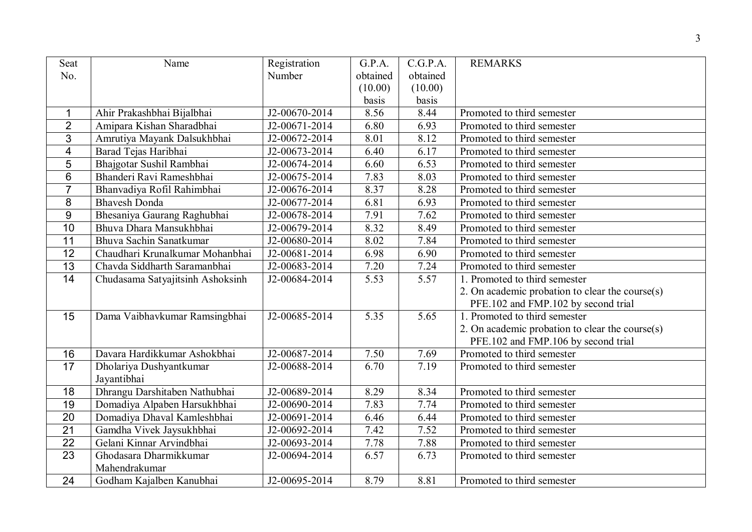| Seat             | Name                             | Registration  | G.P.A.   | C.G.P.A. | <b>REMARKS</b>                                  |
|------------------|----------------------------------|---------------|----------|----------|-------------------------------------------------|
| No.              |                                  | Number        | obtained | obtained |                                                 |
|                  |                                  |               | (10.00)  | (10.00)  |                                                 |
|                  |                                  |               | basis    | basis    |                                                 |
| $\mathbf{1}$     | Ahir Prakashbhai Bijalbhai       | J2-00670-2014 | 8.56     | 8.44     | Promoted to third semester                      |
| $\overline{2}$   | Amipara Kishan Sharadbhai        | J2-00671-2014 | 6.80     | 6.93     | Promoted to third semester                      |
| $\overline{3}$   | Amrutiya Mayank Dalsukhbhai      | J2-00672-2014 | 8.01     | 8.12     | Promoted to third semester                      |
| $\overline{4}$   | Barad Tejas Haribhai             | J2-00673-2014 | 6.40     | 6.17     | Promoted to third semester                      |
| $\overline{5}$   | Bhajgotar Sushil Rambhai         | J2-00674-2014 | 6.60     | 6.53     | Promoted to third semester                      |
| $\overline{6}$   | Bhanderi Ravi Rameshbhai         | J2-00675-2014 | 7.83     | 8.03     | Promoted to third semester                      |
| $\overline{7}$   | Bhanvadiya Rofil Rahimbhai       | J2-00676-2014 | 8.37     | 8.28     | Promoted to third semester                      |
| 8                | <b>Bhavesh Donda</b>             | J2-00677-2014 | 6.81     | 6.93     | Promoted to third semester                      |
| $\boldsymbol{9}$ | Bhesaniya Gaurang Raghubhai      | J2-00678-2014 | 7.91     | 7.62     | Promoted to third semester                      |
| 10               | Bhuva Dhara Mansukhbhai          | J2-00679-2014 | 8.32     | 8.49     | Promoted to third semester                      |
| 11               | Bhuva Sachin Sanatkumar          | J2-00680-2014 | 8.02     | 7.84     | Promoted to third semester                      |
| 12               | Chaudhari Krunalkumar Mohanbhai  | J2-00681-2014 | 6.98     | 6.90     | Promoted to third semester                      |
| 13               | Chavda Siddharth Saramanbhai     | J2-00683-2014 | 7.20     | 7.24     | Promoted to third semester                      |
| 14               | Chudasama Satyajitsinh Ashoksinh | J2-00684-2014 | 5.53     | 5.57     | 1. Promoted to third semester                   |
|                  |                                  |               |          |          | 2. On academic probation to clear the course(s) |
|                  |                                  |               |          |          | PFE.102 and FMP.102 by second trial             |
| 15               | Dama Vaibhavkumar Ramsingbhai    | J2-00685-2014 | 5.35     | 5.65     | 1. Promoted to third semester                   |
|                  |                                  |               |          |          | 2. On academic probation to clear the course(s) |
|                  |                                  |               |          |          | PFE.102 and FMP.106 by second trial             |
| 16               | Davara Hardikkumar Ashokbhai     | J2-00687-2014 | 7.50     | 7.69     | Promoted to third semester                      |
| 17               | Dholariya Dushyantkumar          | J2-00688-2014 | 6.70     | 7.19     | Promoted to third semester                      |
|                  | Jayantibhai                      |               |          |          |                                                 |
| 18               | Dhrangu Darshitaben Nathubhai    | J2-00689-2014 | 8.29     | 8.34     | Promoted to third semester                      |
| 19               | Domadiya Alpaben Harsukhbhai     | J2-00690-2014 | 7.83     | 7.74     | Promoted to third semester                      |
| 20               | Domadiya Dhaval Kamleshbhai      | J2-00691-2014 | 6.46     | 6.44     | Promoted to third semester                      |
| $\overline{21}$  | Gamdha Vivek Jaysukhbhai         | J2-00692-2014 | 7.42     | 7.52     | Promoted to third semester                      |
| $\overline{22}$  | Gelani Kinnar Arvindbhai         | J2-00693-2014 | 7.78     | 7.88     | Promoted to third semester                      |
| $\overline{23}$  | Ghodasara Dharmikkumar           | J2-00694-2014 | 6.57     | 6.73     | Promoted to third semester                      |
|                  | Mahendrakumar                    |               |          |          |                                                 |
| 24               | Godham Kajalben Kanubhai         | J2-00695-2014 | 8.79     | 8.81     | Promoted to third semester                      |

3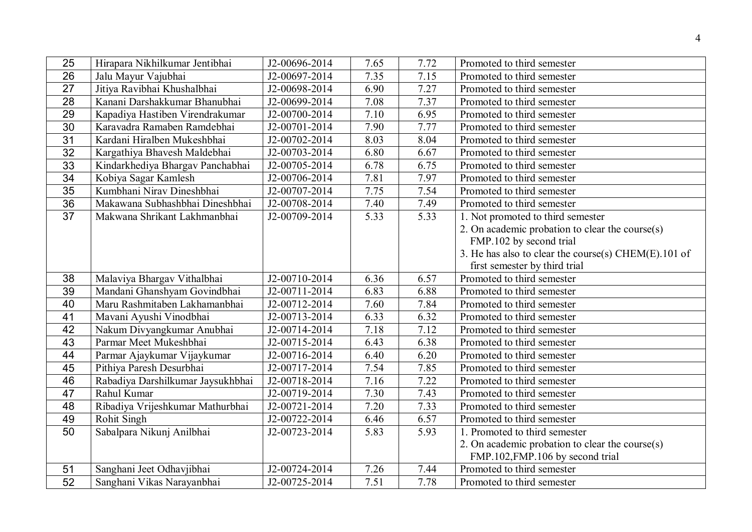| 25              | Hirapara Nikhilkumar Jentibhai    | J2-00696-2014               | 7.65 | 7.72 | Promoted to third semester                           |
|-----------------|-----------------------------------|-----------------------------|------|------|------------------------------------------------------|
| 26              | Jalu Mayur Vajubhai               | J2-00697-2014               | 7.35 | 7.15 | Promoted to third semester                           |
| 27              | Jitiya Ravibhai Khushalbhai       | J2-00698-2014               | 6.90 | 7.27 | Promoted to third semester                           |
| 28              | Kanani Darshakkumar Bhanubhai     | J2-00699-2014               | 7.08 | 7.37 | Promoted to third semester                           |
| $\overline{29}$ | Kapadiya Hastiben Virendrakumar   | J2-00700-2014               | 7.10 | 6.95 | Promoted to third semester                           |
| $\overline{30}$ | Karavadra Ramaben Ramdebhai       | J2-00701-2014               | 7.90 | 7.77 | Promoted to third semester                           |
| 31              | Kardani Hiralben Mukeshbhai       | J2-00702-2014               | 8.03 | 8.04 | Promoted to third semester                           |
| 32              | Kargathiya Bhavesh Maldebhai      | J2-00703-2014               | 6.80 | 6.67 | Promoted to third semester                           |
| 33              | Kindarkhediya Bhargav Panchabhai  | J2-00705-2014               | 6.78 | 6.75 | Promoted to third semester                           |
| $\overline{34}$ | Kobiya Sagar Kamlesh              | J2-00706-2014               | 7.81 | 7.97 | Promoted to third semester                           |
| $\overline{35}$ | Kumbhani Nirav Dineshbhai         | J2-00707-2014               | 7.75 | 7.54 | Promoted to third semester                           |
| $\overline{36}$ | Makawana Subhashbhai Dineshbhai   | J2-00708-2014               | 7.40 | 7.49 | Promoted to third semester                           |
| $\overline{37}$ | Makwana Shrikant Lakhmanbhai      | J2-00709-2014               | 5.33 | 5.33 | 1. Not promoted to third semester                    |
|                 |                                   |                             |      |      | 2. On academic probation to clear the course(s)      |
|                 |                                   |                             |      |      | FMP.102 by second trial                              |
|                 |                                   |                             |      |      | 3. He has also to clear the course(s) CHEM(E).101 of |
|                 |                                   |                             |      |      | first semester by third trial                        |
|                 |                                   |                             |      |      |                                                      |
| 38              | Malaviya Bhargav Vithalbhai       | J2-00710-2014               | 6.36 | 6.57 | Promoted to third semester                           |
| 39              | Mandani Ghanshyam Govindbhai      | J2-00711-2014               | 6.83 | 6.88 | Promoted to third semester                           |
| 40              | Maru Rashmitaben Lakhamanbhai     | J2-00712-2014               | 7.60 | 7.84 | Promoted to third semester                           |
| $\overline{41}$ | Mavani Ayushi Vinodbhai           | J2-00713-2014               | 6.33 | 6.32 | Promoted to third semester                           |
| 42              | Nakum Divyangkumar Anubhai        | J2-00714-2014               | 7.18 | 7.12 | Promoted to third semester                           |
| 43              | Parmar Meet Mukeshbhai            | J2-00715-2014               | 6.43 | 6.38 | Promoted to third semester                           |
| 44              | Parmar Ajaykumar Vijaykumar       | J2-00716-2014               | 6.40 | 6.20 | Promoted to third semester                           |
| 45              | Pithiya Paresh Desurbhai          | $\overline{J2}$ -00717-2014 | 7.54 | 7.85 | Promoted to third semester                           |
| 46              | Rabadiya Darshilkumar Jaysukhbhai | J2-00718-2014               | 7.16 | 7.22 | Promoted to third semester                           |
| 47              | Rahul Kumar                       | J2-00719-2014               | 7.30 | 7.43 | Promoted to third semester                           |
| 48              | Ribadiya Vrijeshkumar Mathurbhai  | J2-00721-2014               | 7.20 | 7.33 | Promoted to third semester                           |
| 49              | Rohit Singh                       | J2-00722-2014               | 6.46 | 6.57 | Promoted to third semester                           |
| 50              | Sabalpara Nikunj Anilbhai         | J2-00723-2014               | 5.83 | 5.93 | 1. Promoted to third semester                        |
|                 |                                   |                             |      |      | 2. On academic probation to clear the course $(s)$   |
|                 |                                   |                             |      |      | FMP.102, FMP.106 by second trial                     |
| 51              | Sanghani Jeet Odhavjibhai         | J2-00724-2014               | 7.26 | 7.44 | Promoted to third semester                           |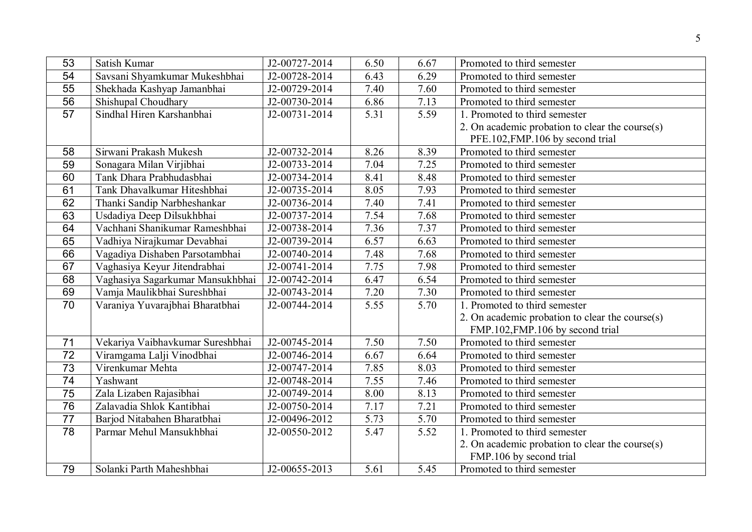| 53              | Satish Kumar                     | J2-00727-2014               | 6.50 | 6.67 | Promoted to third semester                         |
|-----------------|----------------------------------|-----------------------------|------|------|----------------------------------------------------|
| 54              | Savsani Shyamkumar Mukeshbhai    | J2-00728-2014               | 6.43 | 6.29 | Promoted to third semester                         |
| 55              | Shekhada Kashyap Jamanbhai       | J2-00729-2014               | 7.40 | 7.60 | Promoted to third semester                         |
| $\overline{56}$ | Shishupal Choudhary              | J2-00730-2014               | 6.86 | 7.13 | Promoted to third semester                         |
| 57              | Sindhal Hiren Karshanbhai        | J2-00731-2014               | 5.31 | 5.59 | 1. Promoted to third semester                      |
|                 |                                  |                             |      |      | 2. On academic probation to clear the course $(s)$ |
|                 |                                  |                             |      |      | PFE.102, FMP.106 by second trial                   |
| 58              | Sirwani Prakash Mukesh           | J2-00732-2014               | 8.26 | 8.39 | Promoted to third semester                         |
| 59              | Sonagara Milan Virjibhai         | J2-00733-2014               | 7.04 | 7.25 | Promoted to third semester                         |
| 60              | Tank Dhara Prabhudasbhai         | J2-00734-2014               | 8.41 | 8.48 | Promoted to third semester                         |
| 61              | Tank Dhavalkumar Hiteshbhai      | J2-00735-2014               | 8.05 | 7.93 | Promoted to third semester                         |
| 62              | Thanki Sandip Narbheshankar      | J2-00736-2014               | 7.40 | 7.41 | Promoted to third semester                         |
| 63              | Usdadiya Deep Dilsukhbhai        | J2-00737-2014               | 7.54 | 7.68 | Promoted to third semester                         |
| 64              | Vachhani Shanikumar Rameshbhai   | J2-00738-2014               | 7.36 | 7.37 | Promoted to third semester                         |
| 65              | Vadhiya Nirajkumar Devabhai      | J2-00739-2014               | 6.57 | 6.63 | Promoted to third semester                         |
| 66              | Vagadiya Dishaben Parsotambhai   | J2-00740-2014               | 7.48 | 7.68 | Promoted to third semester                         |
| 67              | Vaghasiya Keyur Jitendrabhai     | J2-00741-2014               | 7.75 | 7.98 | Promoted to third semester                         |
| 68              | Vaghasiya Sagarkumar Mansukhbhai | J2-00742-2014               | 6.47 | 6.54 | Promoted to third semester                         |
| 69              | Vamja Maulikbhai Sureshbhai      | J2-00743-2014               | 7.20 | 7.30 | Promoted to third semester                         |
| 70              | Varaniya Yuvarajbhai Bharatbhai  | J2-00744-2014               | 5.55 | 5.70 | 1. Promoted to third semester                      |
|                 |                                  |                             |      |      | 2. On academic probation to clear the course(s)    |
|                 |                                  |                             |      |      | FMP.102, FMP.106 by second trial                   |
| 71              | Vekariya Vaibhavkumar Sureshbhai | J2-00745-2014               | 7.50 | 7.50 | Promoted to third semester                         |
| 72              | Viramgama Lalji Vinodbhai        | J2-00746-2014               | 6.67 | 6.64 | Promoted to third semester                         |
| $\overline{73}$ | Virenkumar Mehta                 | J2-00747-2014               | 7.85 | 8.03 | Promoted to third semester                         |
| 74              | Yashwant                         | J2-00748-2014               | 7.55 | 7.46 | Promoted to third semester                         |
| $\overline{75}$ | Zala Lizaben Rajasibhai          | J2-00749-2014               | 8.00 | 8.13 | Promoted to third semester                         |
| 76              | Zalavadia Shlok Kantibhai        | $\overline{J2-00}$ 750-2014 | 7.17 | 7.21 | Promoted to third semester                         |
| $\overline{77}$ | Barjod Nitabahen Bharatbhai      | J2-00496-2012               | 5.73 | 5.70 | Promoted to third semester                         |
| 78              | Parmar Mehul Mansukhbhai         | J2-00550-2012               | 5.47 | 5.52 | 1. Promoted to third semester                      |
|                 |                                  |                             |      |      | 2. On academic probation to clear the course $(s)$ |
|                 |                                  |                             |      |      | FMP.106 by second trial                            |
| 79              | Solanki Parth Maheshbhai         | J2-00655-2013               | 5.61 | 5.45 | Promoted to third semester                         |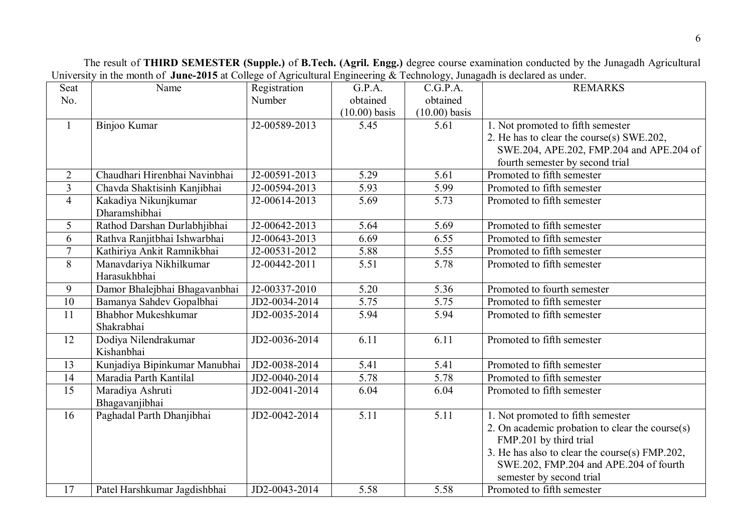The result of **THIRD SEMESTER (Supple.)** of **B.Tech. (Agril. Engg.)** degree course examination conducted by the Junagadh Agricultural University in the month of **June-2015** at College of Agricultural Engineering & Technology, Junagadh is declared as under.

| Seat           | Name                          | Registration  | G.P.A.          | C.G.P.A.        | <b>REMARKS</b>                                  |
|----------------|-------------------------------|---------------|-----------------|-----------------|-------------------------------------------------|
| No.            |                               | Number        | obtained        | obtained        |                                                 |
|                |                               |               | $(10.00)$ basis | $(10.00)$ basis |                                                 |
| $\mathbf{1}$   | Binjoo Kumar                  | J2-00589-2013 | 5.45            | 5.61            | 1. Not promoted to fifth semester               |
|                |                               |               |                 |                 | 2. He has to clear the course(s) SWE.202,       |
|                |                               |               |                 |                 | SWE.204, APE.202, FMP.204 and APE.204 of        |
|                |                               |               |                 |                 | fourth semester by second trial                 |
| 2              | Chaudhari Hirenbhai Navinbhai | J2-00591-2013 | 5.29            | 5.61            | Promoted to fifth semester                      |
| $\overline{3}$ | Chavda Shaktisinh Kanjibhai   | J2-00594-2013 | 5.93            | 5.99            | Promoted to fifth semester                      |
| $\overline{4}$ | Kakadiya Nikunjkumar          | J2-00614-2013 | 5.69            | 5.73            | Promoted to fifth semester                      |
|                | Dharamshibhai                 |               |                 |                 |                                                 |
| 5              | Rathod Darshan Durlabhjibhai  | J2-00642-2013 | 5.64            | 5.69            | Promoted to fifth semester                      |
| 6              | Rathva Ranjitbhai Ishwarbhai  | J2-00643-2013 | 6.69            | 6.55            | Promoted to fifth semester                      |
| $\overline{7}$ | Kathiriya Ankit Ramnikbhai    | J2-00531-2012 | 5.88            | 5.55            | Promoted to fifth semester                      |
| 8              | Manavdariya Nikhilkumar       | J2-00442-2011 | 5.51            | 5.78            | Promoted to fifth semester                      |
|                | Harasukhbhai                  |               |                 |                 |                                                 |
| 9              | Damor Bhalejbhai Bhagavanbhai | J2-00337-2010 | 5.20            | 5.36            | Promoted to fourth semester                     |
| 10             | Bamanya Sahdev Gopalbhai      | JD2-0034-2014 | 5.75            | 5.75            | Promoted to fifth semester                      |
| 11             | <b>Bhabhor Mukeshkumar</b>    | JD2-0035-2014 | 5.94            | 5.94            | Promoted to fifth semester                      |
|                | Shakrabhai                    |               |                 |                 |                                                 |
| 12             | Dodiya Nilendrakumar          | JD2-0036-2014 | 6.11            | 6.11            | Promoted to fifth semester                      |
|                | Kishanbhai                    |               |                 |                 |                                                 |
| 13             | Kunjadiya Bipinkumar Manubhai | JD2-0038-2014 | 5.41            | 5.41            | Promoted to fifth semester                      |
| 14             | Maradia Parth Kantilal        | JD2-0040-2014 | 5.78            | 5.78            | Promoted to fifth semester                      |
| 15             | Maradiya Ashruti              | JD2-0041-2014 | 6.04            | 6.04            | Promoted to fifth semester                      |
|                | Bhagavanjibhai                |               |                 |                 |                                                 |
| 16             | Paghadal Parth Dhanjibhai     | JD2-0042-2014 | 5.11            | 5.11            | 1. Not promoted to fifth semester               |
|                |                               |               |                 |                 | 2. On academic probation to clear the course(s) |
|                |                               |               |                 |                 | FMP.201 by third trial                          |
|                |                               |               |                 |                 | 3. He has also to clear the course(s) FMP.202,  |
|                |                               |               |                 |                 | SWE.202, FMP.204 and APE.204 of fourth          |
|                |                               |               |                 |                 | semester by second trial                        |
| 17             | Patel Harshkumar Jagdishbhai  | JD2-0043-2014 | 5.58            | 5.58            | Promoted to fifth semester                      |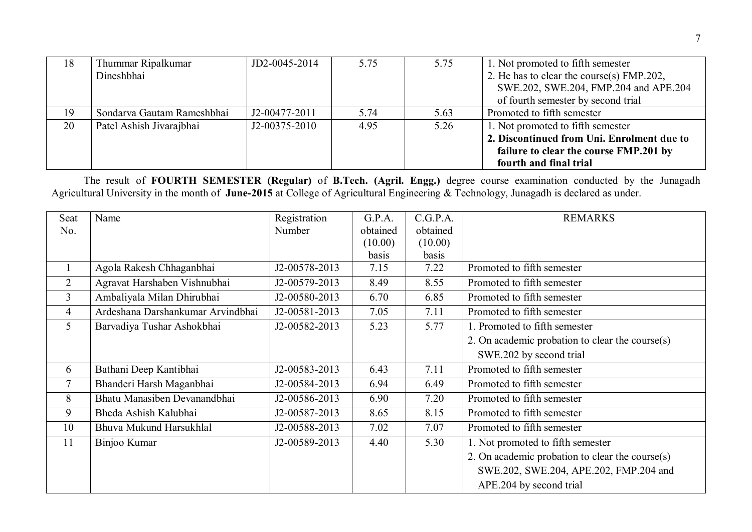| 18 | Thummar Ripalkumar         | JD2-0045-2014       | 5.75 | 5.75 | 1. Not promoted to fifth semester          |
|----|----------------------------|---------------------|------|------|--------------------------------------------|
|    | Dineshbhai                 |                     |      |      | 2. He has to clear the course(s) FMP.202,  |
|    |                            |                     |      |      | SWE.202, SWE.204, FMP.204 and APE.204      |
|    |                            |                     |      |      | of fourth semester by second trial         |
| 19 | Sondarva Gautam Rameshbhai | J2-00477-2011       | 5.74 | 5.63 | Promoted to fifth semester                 |
| 20 | Patel Ashish Jivarajbhai   | $J2 - 00375 - 2010$ | 4.95 | 5.26 | 1. Not promoted to fifth semester          |
|    |                            |                     |      |      | 2. Discontinued from Uni. Enrolment due to |
|    |                            |                     |      |      | failure to clear the course FMP.201 by     |
|    |                            |                     |      |      | fourth and final trial                     |

The result of **FOURTH SEMESTER (Regular)** of **B.Tech. (Agril. Engg.)** degree course examination conducted by the Junagadh Agricultural University in the month of **June-2015** at College of Agricultural Engineering & Technology, Junagadh is declared as under.

| Seat           | Name                              | Registration  | G.P.A.   | C.G.P.A. | <b>REMARKS</b>                                     |
|----------------|-----------------------------------|---------------|----------|----------|----------------------------------------------------|
| No.            |                                   | Number        | obtained | obtained |                                                    |
|                |                                   |               | (10.00)  | (10.00)  |                                                    |
|                |                                   |               | basis    | basis    |                                                    |
|                | Agola Rakesh Chhaganbhai          | J2-00578-2013 | 7.15     | 7.22     | Promoted to fifth semester                         |
| $\overline{2}$ | Agravat Harshaben Vishnubhai      | J2-00579-2013 | 8.49     | 8.55     | Promoted to fifth semester                         |
| $\overline{3}$ | Ambaliyala Milan Dhirubhai        | J2-00580-2013 | 6.70     | 6.85     | Promoted to fifth semester                         |
| $\overline{4}$ | Ardeshana Darshankumar Arvindbhai | J2-00581-2013 | 7.05     | 7.11     | Promoted to fifth semester                         |
| 5              | Barvadiya Tushar Ashokbhai        | J2-00582-2013 | 5.23     | 5.77     | 1. Promoted to fifth semester                      |
|                |                                   |               |          |          | 2. On academic probation to clear the course(s)    |
|                |                                   |               |          |          | SWE.202 by second trial                            |
| 6              | Bathani Deep Kantibhai            | J2-00583-2013 | 6.43     | 7.11     | Promoted to fifth semester                         |
| $\overline{7}$ | Bhanderi Harsh Maganbhai          | J2-00584-2013 | 6.94     | 6.49     | Promoted to fifth semester                         |
| 8              | Bhatu Manasiben Devanandbhai      | J2-00586-2013 | 6.90     | 7.20     | Promoted to fifth semester                         |
| 9              | Bheda Ashish Kalubhai             | J2-00587-2013 | 8.65     | 8.15     | Promoted to fifth semester                         |
| 10             | Bhuva Mukund Harsukhlal           | J2-00588-2013 | 7.02     | 7.07     | Promoted to fifth semester                         |
| 11             | Binjoo Kumar                      | J2-00589-2013 | 4.40     | 5.30     | 1. Not promoted to fifth semester                  |
|                |                                   |               |          |          | 2. On academic probation to clear the course $(s)$ |
|                |                                   |               |          |          | SWE.202, SWE.204, APE.202, FMP.204 and             |
|                |                                   |               |          |          | APE.204 by second trial                            |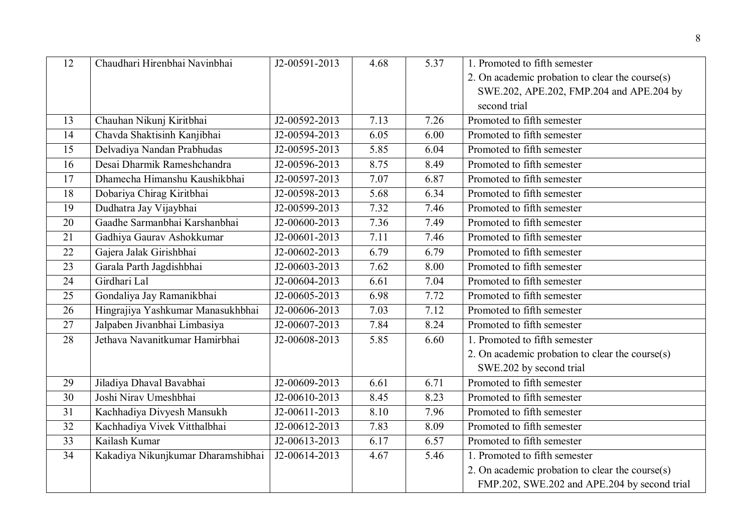| 12              | Chaudhari Hirenbhai Navinbhai      | J2-00591-2013              | 4.68 | 5.37 | 1. Promoted to fifth semester                   |
|-----------------|------------------------------------|----------------------------|------|------|-------------------------------------------------|
|                 |                                    |                            |      |      | 2. On academic probation to clear the course(s) |
|                 |                                    |                            |      |      | SWE.202, APE.202, FMP.204 and APE.204 by        |
|                 |                                    |                            |      |      | second trial                                    |
| 13              | Chauhan Nikunj Kiritbhai           | J2-00592-2013              | 7.13 | 7.26 | Promoted to fifth semester                      |
| 14              | Chavda Shaktisinh Kanjibhai        | J2-00594-2013              | 6.05 | 6.00 | Promoted to fifth semester                      |
| 15              | Delvadiya Nandan Prabhudas         | J2-00595-2013              | 5.85 | 6.04 | Promoted to fifth semester                      |
| 16              | Desai Dharmik Rameshchandra        | J2-00596-2013              | 8.75 | 8.49 | Promoted to fifth semester                      |
| 17              | Dhamecha Himanshu Kaushikbhai      | J2-00597-2013              | 7.07 | 6.87 | Promoted to fifth semester                      |
| 18              | Dobariya Chirag Kiritbhai          | J2-00598-2013              | 5.68 | 6.34 | Promoted to fifth semester                      |
| 19              | Dudhatra Jay Vijaybhai             | $\overline{J2-00599-2013}$ | 7.32 | 7.46 | Promoted to fifth semester                      |
| 20              | Gaadhe Sarmanbhai Karshanbhai      | J2-00600-2013              | 7.36 | 7.49 | Promoted to fifth semester                      |
| 21              | Gadhiya Gaurav Ashokkumar          | J2-00601-2013              | 7.11 | 7.46 | Promoted to fifth semester                      |
| 22              | Gajera Jalak Girishbhai            | J2-00602-2013              | 6.79 | 6.79 | Promoted to fifth semester                      |
| 23              | Garala Parth Jagdishbhai           | J2-00603-2013              | 7.62 | 8.00 | Promoted to fifth semester                      |
| $\overline{24}$ | Girdhari Lal                       | J2-00604-2013              | 6.61 | 7.04 | Promoted to fifth semester                      |
| 25              | Gondaliya Jay Ramanikbhai          | J2-00605-2013              | 6.98 | 7.72 | Promoted to fifth semester                      |
| 26              | Hingrajiya Yashkumar Manasukhbhai  | J2-00606-2013              | 7.03 | 7.12 | Promoted to fifth semester                      |
| 27              | Jalpaben Jivanbhai Limbasiya       | J2-00607-2013              | 7.84 | 8.24 | Promoted to fifth semester                      |
| 28              | Jethava Navanitkumar Hamirbhai     | J2-00608-2013              | 5.85 | 6.60 | 1. Promoted to fifth semester                   |
|                 |                                    |                            |      |      | 2. On academic probation to clear the course(s) |
|                 |                                    |                            |      |      | SWE.202 by second trial                         |
| 29              | Jiladiya Dhaval Bavabhai           | J2-00609-2013              | 6.61 | 6.71 | Promoted to fifth semester                      |
| 30              | Joshi Nirav Umeshbhai              | J2-00610-2013              | 8.45 | 8.23 | Promoted to fifth semester                      |
| 31              | Kachhadiya Divyesh Mansukh         | J2-00611-2013              | 8.10 | 7.96 | Promoted to fifth semester                      |
| $\overline{32}$ | Kachhadiya Vivek Vitthalbhai       | J2-00612-2013              | 7.83 | 8.09 | Promoted to fifth semester                      |
| $\overline{33}$ | Kailash Kumar                      | J2-00613-2013              | 6.17 | 6.57 | Promoted to fifth semester                      |
| 34              | Kakadiya Nikunjkumar Dharamshibhai | J2-00614-2013              | 4.67 | 5.46 | 1. Promoted to fifth semester                   |
|                 |                                    |                            |      |      | 2. On academic probation to clear the course(s) |
|                 |                                    |                            |      |      | FMP.202, SWE.202 and APE.204 by second trial    |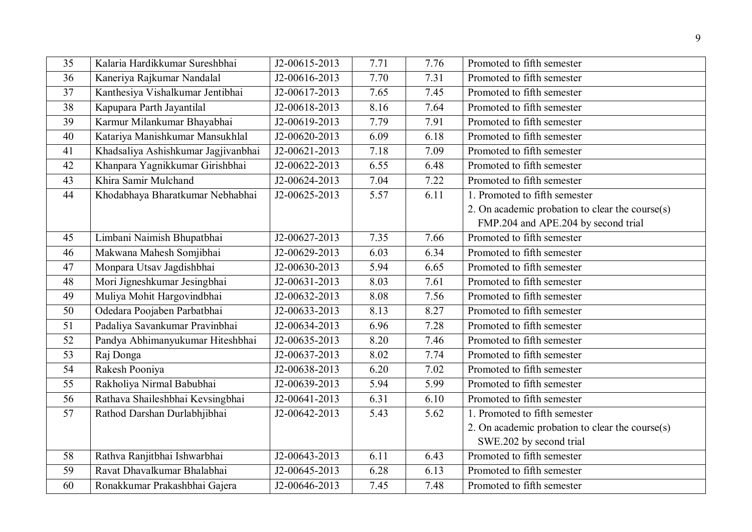| 35              | Kalaria Hardikkumar Sureshbhai      | J2-00615-2013               | 7.71 | 7.76 | Promoted to fifth semester                      |
|-----------------|-------------------------------------|-----------------------------|------|------|-------------------------------------------------|
| 36              | Kaneriya Rajkumar Nandalal          | $J2 - 00616 - 2013$         | 7.70 | 7.31 | Promoted to fifth semester                      |
| 37              | Kanthesiya Vishalkumar Jentibhai    | J2-00617-2013               | 7.65 | 7.45 | Promoted to fifth semester                      |
| $\overline{38}$ | Kapupara Parth Jayantilal           | J2-00618-2013               | 8.16 | 7.64 | Promoted to fifth semester                      |
| 39              | Karmur Milankumar Bhayabhai         | J2-00619-2013               | 7.79 | 7.91 | Promoted to fifth semester                      |
| 40              | Katariya Manishkumar Mansukhlal     | J2-00620-2013               | 6.09 | 6.18 | Promoted to fifth semester                      |
| 41              | Khadsaliya Ashishkumar Jagjivanbhai | J2-00621-2013               | 7.18 | 7.09 | Promoted to fifth semester                      |
| 42              | Khanpara Yagnikkumar Girishbhai     | J2-00622-2013               | 6.55 | 6.48 | Promoted to fifth semester                      |
| 43              | Khira Samir Mulchand                | J2-00624-2013               | 7.04 | 7.22 | Promoted to fifth semester                      |
| 44              | Khodabhaya Bharatkumar Nebhabhai    | J2-00625-2013               | 5.57 | 6.11 | 1. Promoted to fifth semester                   |
|                 |                                     |                             |      |      | 2. On academic probation to clear the course(s) |
|                 |                                     |                             |      |      | FMP.204 and APE.204 by second trial             |
| 45              | Limbani Naimish Bhupatbhai          | J2-00627-2013               | 7.35 | 7.66 | Promoted to fifth semester                      |
| 46              | Makwana Mahesh Somjibhai            | J2-00629-2013               | 6.03 | 6.34 | Promoted to fifth semester                      |
| 47              | Monpara Utsav Jagdishbhai           | J2-00630-2013               | 5.94 | 6.65 | Promoted to fifth semester                      |
| 48              | Mori Jigneshkumar Jesingbhai        | J2-00631-2013               | 8.03 | 7.61 | Promoted to fifth semester                      |
| 49              | Muliya Mohit Hargovindbhai          | J2-00632-2013               | 8.08 | 7.56 | Promoted to fifth semester                      |
| 50              | Odedara Poojaben Parbatbhai         | J2-00633-2013               | 8.13 | 8.27 | Promoted to fifth semester                      |
| 51              | Padaliya Savankumar Pravinbhai      | J2-00634-2013               | 6.96 | 7.28 | Promoted to fifth semester                      |
| 52              | Pandya Abhimanyukumar Hiteshbhai    | J2-00635-2013               | 8.20 | 7.46 | Promoted to fifth semester                      |
| 53              | Raj Donga                           | J2-00637-2013               | 8.02 | 7.74 | Promoted to fifth semester                      |
| 54              | Rakesh Pooniya                      | J2-00638-2013               | 6.20 | 7.02 | Promoted to fifth semester                      |
| 55              | Rakholiya Nirmal Babubhai           | $\overline{J2}$ -00639-2013 | 5.94 | 5.99 | Promoted to fifth semester                      |
| 56              | Rathava Shaileshbhai Kevsingbhai    | J2-00641-2013               | 6.31 | 6.10 | Promoted to fifth semester                      |
| 57              | Rathod Darshan Durlabhjibhai        | J2-00642-2013               | 5.43 | 5.62 | 1. Promoted to fifth semester                   |
|                 |                                     |                             |      |      | 2. On academic probation to clear the course(s) |
|                 |                                     |                             |      |      | SWE.202 by second trial                         |
| 58              | Rathva Ranjitbhai Ishwarbhai        | J2-00643-2013               | 6.11 | 6.43 | Promoted to fifth semester                      |
| 59              | Ravat Dhavalkumar Bhalabhai         | J2-00645-2013               | 6.28 | 6.13 | Promoted to fifth semester                      |
| 60              | Ronakkumar Prakashbhai Gajera       | J2-00646-2013               | 7.45 | 7.48 | Promoted to fifth semester                      |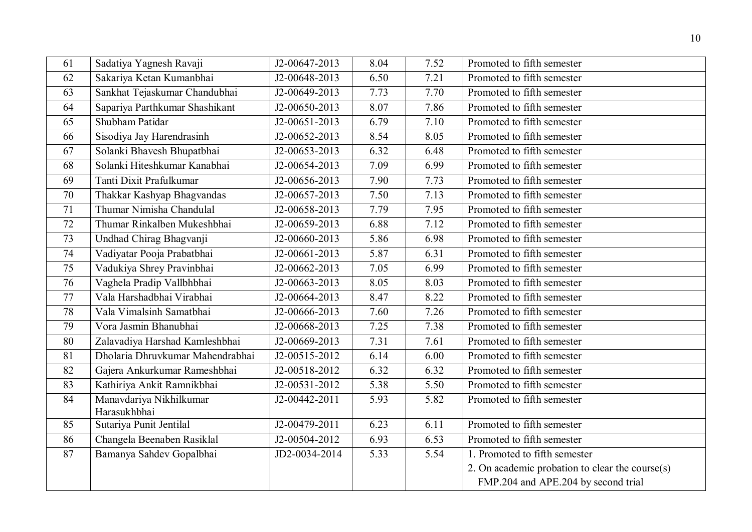| 61 | Sadatiya Yagnesh Ravaji          | J2-00647-2013                  | 8.04 | 7.52 | Promoted to fifth semester                      |
|----|----------------------------------|--------------------------------|------|------|-------------------------------------------------|
| 62 | Sakariya Ketan Kumanbhai         | J2-00648-2013                  | 6.50 | 7.21 | Promoted to fifth semester                      |
| 63 | Sankhat Tejaskumar Chandubhai    | J2-00649-2013                  | 7.73 | 7.70 | Promoted to fifth semester                      |
| 64 | Sapariya Parthkumar Shashikant   | J2-00650-2013                  | 8.07 | 7.86 | Promoted to fifth semester                      |
| 65 | Shubham Patidar                  | J2-00651-2013                  | 6.79 | 7.10 | Promoted to fifth semester                      |
| 66 | Sisodiya Jay Harendrasinh        | J2-00652-2013                  | 8.54 | 8.05 | Promoted to fifth semester                      |
| 67 | Solanki Bhavesh Bhupatbhai       | J2-00653-2013                  | 6.32 | 6.48 | Promoted to fifth semester                      |
| 68 | Solanki Hiteshkumar Kanabhai     | J2-00654-2013                  | 7.09 | 6.99 | Promoted to fifth semester                      |
| 69 | Tanti Dixit Prafulkumar          | J2-00656-2013                  | 7.90 | 7.73 | Promoted to fifth semester                      |
| 70 | Thakkar Kashyap Bhagvandas       | $\overline{J2 - 00657 - 2013}$ | 7.50 | 7.13 | Promoted to fifth semester                      |
| 71 | Thumar Nimisha Chandulal         | J2-00658-2013                  | 7.79 | 7.95 | Promoted to fifth semester                      |
| 72 | Thumar Rinkalben Mukeshbhai      | J2-00659-2013                  | 6.88 | 7.12 | Promoted to fifth semester                      |
| 73 | Undhad Chirag Bhagvanji          | J2-00660-2013                  | 5.86 | 6.98 | Promoted to fifth semester                      |
| 74 | Vadiyatar Pooja Prabatbhai       | J2-00661-2013                  | 5.87 | 6.31 | Promoted to fifth semester                      |
| 75 | Vadukiya Shrey Pravinbhai        | J2-00662-2013                  | 7.05 | 6.99 | Promoted to fifth semester                      |
| 76 | Vaghela Pradip Vallbhbhai        | J2-00663-2013                  | 8.05 | 8.03 | Promoted to fifth semester                      |
| 77 | Vala Harshadbhai Virabhai        | J2-00664-2013                  | 8.47 | 8.22 | Promoted to fifth semester                      |
| 78 | Vala Vimalsinh Samatbhai         | J2-00666-2013                  | 7.60 | 7.26 | Promoted to fifth semester                      |
| 79 | Vora Jasmin Bhanubhai            | J2-00668-2013                  | 7.25 | 7.38 | Promoted to fifth semester                      |
| 80 | Zalavadiya Harshad Kamleshbhai   | J2-00669-2013                  | 7.31 | 7.61 | Promoted to fifth semester                      |
| 81 | Dholaria Dhruvkumar Mahendrabhai | J2-00515-2012                  | 6.14 | 6.00 | Promoted to fifth semester                      |
| 82 | Gajera Ankurkumar Rameshbhai     | J2-00518-2012                  | 6.32 | 6.32 | Promoted to fifth semester                      |
| 83 | Kathiriya Ankit Ramnikbhai       | J2-00531-2012                  | 5.38 | 5.50 | Promoted to fifth semester                      |
| 84 | Manavdariya Nikhilkumar          | J2-00442-2011                  | 5.93 | 5.82 | Promoted to fifth semester                      |
|    | Harasukhbhai                     |                                |      |      |                                                 |
| 85 | Sutariya Punit Jentilal          | J2-00479-2011                  | 6.23 | 6.11 | Promoted to fifth semester                      |
| 86 | Changela Beenaben Rasiklal       | J2-00504-2012                  | 6.93 | 6.53 | Promoted to fifth semester                      |
| 87 | Bamanya Sahdev Gopalbhai         | JD2-0034-2014                  | 5.33 | 5.54 | 1. Promoted to fifth semester                   |
|    |                                  |                                |      |      | 2. On academic probation to clear the course(s) |
|    |                                  |                                |      |      | FMP.204 and APE.204 by second trial             |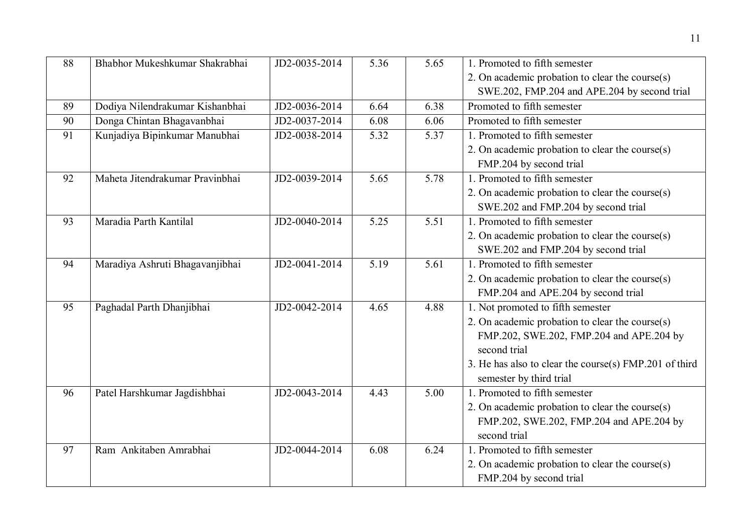| 88 | Bhabhor Mukeshkumar Shakrabhai  | JD2-0035-2014 | 5.36 | 5.65 | 1. Promoted to fifth semester                                                                   |
|----|---------------------------------|---------------|------|------|-------------------------------------------------------------------------------------------------|
|    |                                 |               |      |      | 2. On academic probation to clear the course(s)<br>SWE.202, FMP.204 and APE.204 by second trial |
| 89 | Dodiya Nilendrakumar Kishanbhai | JD2-0036-2014 | 6.64 | 6.38 | Promoted to fifth semester                                                                      |
| 90 | Donga Chintan Bhagavanbhai      | JD2-0037-2014 | 6.08 | 6.06 | Promoted to fifth semester                                                                      |
| 91 | Kunjadiya Bipinkumar Manubhai   | JD2-0038-2014 | 5.32 | 5.37 | 1. Promoted to fifth semester                                                                   |
|    |                                 |               |      |      | 2. On academic probation to clear the course(s)                                                 |
|    |                                 |               |      |      | FMP.204 by second trial                                                                         |
| 92 | Maheta Jitendrakumar Pravinbhai | JD2-0039-2014 | 5.65 | 5.78 | 1. Promoted to fifth semester                                                                   |
|    |                                 |               |      |      | 2. On academic probation to clear the course(s)                                                 |
|    |                                 |               |      |      | SWE.202 and FMP.204 by second trial                                                             |
| 93 | Maradia Parth Kantilal          | JD2-0040-2014 | 5.25 | 5.51 | 1. Promoted to fifth semester                                                                   |
|    |                                 |               |      |      | 2. On academic probation to clear the course(s)                                                 |
|    |                                 |               |      |      | SWE.202 and FMP.204 by second trial                                                             |
| 94 | Maradiya Ashruti Bhagavanjibhai | JD2-0041-2014 | 5.19 | 5.61 | 1. Promoted to fifth semester                                                                   |
|    |                                 |               |      |      | 2. On academic probation to clear the course(s)                                                 |
|    |                                 |               |      |      | FMP.204 and APE.204 by second trial                                                             |
| 95 | Paghadal Parth Dhanjibhai       | JD2-0042-2014 | 4.65 | 4.88 | 1. Not promoted to fifth semester                                                               |
|    |                                 |               |      |      | 2. On academic probation to clear the course(s)                                                 |
|    |                                 |               |      |      | FMP.202, SWE.202, FMP.204 and APE.204 by                                                        |
|    |                                 |               |      |      | second trial                                                                                    |
|    |                                 |               |      |      | 3. He has also to clear the course(s) FMP.201 of third                                          |
|    |                                 |               |      |      | semester by third trial                                                                         |
| 96 | Patel Harshkumar Jagdishbhai    | JD2-0043-2014 | 4.43 | 5.00 | 1. Promoted to fifth semester                                                                   |
|    |                                 |               |      |      | 2. On academic probation to clear the course(s)                                                 |
|    |                                 |               |      |      | FMP.202, SWE.202, FMP.204 and APE.204 by                                                        |
|    |                                 |               |      |      | second trial                                                                                    |
| 97 | Ram Ankitaben Amrabhai          | JD2-0044-2014 | 6.08 | 6.24 | 1. Promoted to fifth semester                                                                   |
|    |                                 |               |      |      | 2. On academic probation to clear the course(s)                                                 |
|    |                                 |               |      |      | FMP.204 by second trial                                                                         |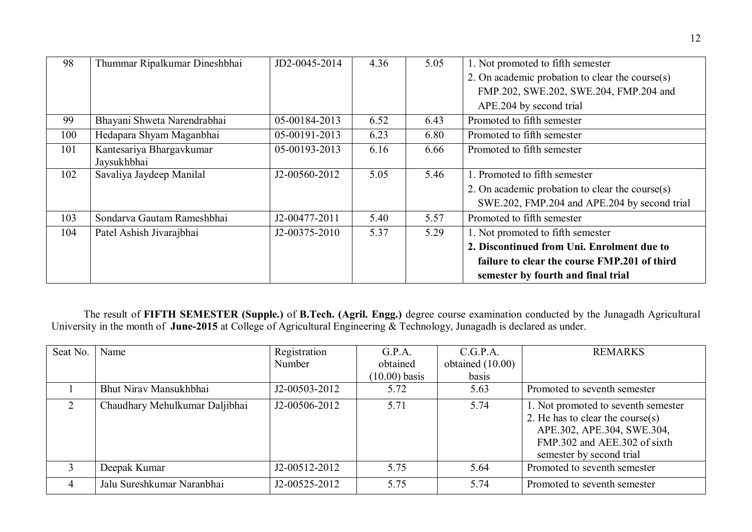| 98  | Thummar Ripalkumar Dineshbhai           | JD2-0045-2014 | 4.36 | 5.05 | 1. Not promoted to fifth semester               |
|-----|-----------------------------------------|---------------|------|------|-------------------------------------------------|
|     |                                         |               |      |      | 2. On academic probation to clear the course(s) |
|     |                                         |               |      |      | FMP.202, SWE.202, SWE.204, FMP.204 and          |
|     |                                         |               |      |      | APE.204 by second trial                         |
| 99  | Bhayani Shweta Narendrabhai             | 05-00184-2013 | 6.52 | 6.43 | Promoted to fifth semester                      |
| 100 | Hedapara Shyam Maganbhai                | 05-00191-2013 | 6.23 | 6.80 | Promoted to fifth semester                      |
| 101 | Kantesariya Bhargavkumar<br>Jaysukhbhai | 05-00193-2013 | 6.16 | 6.66 | Promoted to fifth semester                      |
| 102 | Savaliya Jaydeep Manilal                | J2-00560-2012 | 5.05 | 5.46 | 1. Promoted to fifth semester                   |
|     |                                         |               |      |      | 2. On academic probation to clear the course(s) |
|     |                                         |               |      |      | SWE.202, FMP.204 and APE.204 by second trial    |
| 103 | Sondarva Gautam Rameshbhai              | J2-00477-2011 | 5.40 | 5.57 | Promoted to fifth semester                      |
| 104 | Patel Ashish Jivarajbhai                | J2-00375-2010 | 5.37 | 5.29 | 1. Not promoted to fifth semester               |
|     |                                         |               |      |      | 2. Discontinued from Uni. Enrolment due to      |
|     |                                         |               |      |      | failure to clear the course FMP.201 of third    |
|     |                                         |               |      |      | semester by fourth and final trial              |

The result of **FIFTH SEMESTER (Supple.)** of **B.Tech. (Agril. Engg.)** degree course examination conducted by the Junagadh Agricultural University in the month of **June-2015** at College of Agricultural Engineering & Technology, Junagadh is declared as under.

| Seat No.       | Name                           | Registration  | G.P.A.          | C.G.P.A.           | <b>REMARKS</b>                                                                                                                                                    |
|----------------|--------------------------------|---------------|-----------------|--------------------|-------------------------------------------------------------------------------------------------------------------------------------------------------------------|
|                |                                | Number        | obtained        | obtained $(10.00)$ |                                                                                                                                                                   |
|                |                                |               | $(10.00)$ basis | basis              |                                                                                                                                                                   |
|                | Bhut Nirav Mansukhbhai         | J2-00503-2012 | 5.72            | 5.63               | Promoted to seventh semester                                                                                                                                      |
|                | Chaudhary Mehulkumar Daljibhai | J2-00506-2012 | 5.71            | 5.74               | 1. Not promoted to seventh semester<br>2. He has to clear the course(s)<br>APE.302, APE.304, SWE.304,<br>FMP.302 and AEE.302 of sixth<br>semester by second trial |
|                | Deepak Kumar                   | J2-00512-2012 | 5.75            | 5.64               | Promoted to seventh semester                                                                                                                                      |
| $\overline{4}$ | Jalu Sureshkumar Naranbhai     | J2-00525-2012 | 5.75            | 5.74               | Promoted to seventh semester                                                                                                                                      |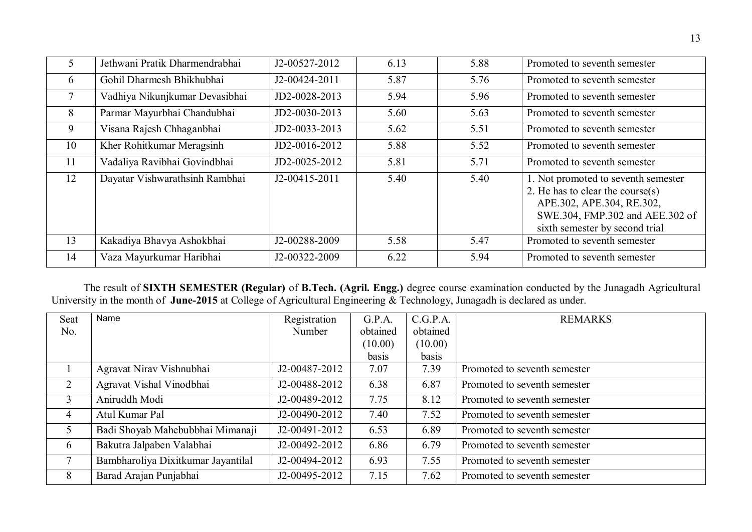|    | Jethwani Pratik Dharmendrabhai | J2-00527-2012 | 6.13 | 5.88 | Promoted to seventh semester                                                                                                                                                 |
|----|--------------------------------|---------------|------|------|------------------------------------------------------------------------------------------------------------------------------------------------------------------------------|
| 6  | Gohil Dharmesh Bhikhubhai      | J2-00424-2011 | 5.87 | 5.76 | Promoted to seventh semester                                                                                                                                                 |
|    | Vadhiya Nikunjkumar Devasibhai | JD2-0028-2013 | 5.94 | 5.96 | Promoted to seventh semester                                                                                                                                                 |
| 8  | Parmar Mayurbhai Chandubhai    | JD2-0030-2013 | 5.60 | 5.63 | Promoted to seventh semester                                                                                                                                                 |
| 9  | Visana Rajesh Chhaganbhai      | JD2-0033-2013 | 5.62 | 5.51 | Promoted to seventh semester                                                                                                                                                 |
| 10 | Kher Rohitkumar Meragsinh      | JD2-0016-2012 | 5.88 | 5.52 | Promoted to seventh semester                                                                                                                                                 |
| 11 | Vadaliya Ravibhai Govindbhai   | JD2-0025-2012 | 5.81 | 5.71 | Promoted to seventh semester                                                                                                                                                 |
| 12 | Dayatar Vishwarathsinh Rambhai | J2-00415-2011 | 5.40 | 5.40 | 1. Not promoted to seventh semester<br>2. He has to clear the course $(s)$<br>APE.302, APE.304, RE.302,<br>SWE.304, FMP.302 and AEE.302 of<br>sixth semester by second trial |
| 13 | Kakadiya Bhavya Ashokbhai      | J2-00288-2009 | 5.58 | 5.47 | Promoted to seventh semester                                                                                                                                                 |
| 14 | Vaza Mayurkumar Haribhai       | J2-00322-2009 | 6.22 | 5.94 | Promoted to seventh semester                                                                                                                                                 |

The result of **SIXTH SEMESTER (Regular)** of **B.Tech. (Agril. Engg.)** degree course examination conducted by the Junagadh Agricultural University in the month of **June-2015** at College of Agricultural Engineering & Technology, Junagadh is declared as under.

| Seat           | Name                               | Registration  | G.P.A.   | C.G.P.A. | <b>REMARKS</b>               |
|----------------|------------------------------------|---------------|----------|----------|------------------------------|
| No.            |                                    | Number        | obtained | obtained |                              |
|                |                                    |               | (10.00)  | (10.00)  |                              |
|                |                                    |               | basis    | basis    |                              |
|                | Agravat Nirav Vishnubhai           | J2-00487-2012 | 7.07     | 7.39     | Promoted to seventh semester |
| 2              | Agravat Vishal Vinodbhai           | J2-00488-2012 | 6.38     | 6.87     | Promoted to seventh semester |
| 3              | Aniruddh Modi                      | J2-00489-2012 | 7.75     | 8.12     | Promoted to seventh semester |
| $\overline{4}$ | Atul Kumar Pal                     | J2-00490-2012 | 7.40     | 7.52     | Promoted to seventh semester |
| 5              | Badi Shoyab Mahebubbhai Mimanaji   | J2-00491-2012 | 6.53     | 6.89     | Promoted to seventh semester |
| 6              | Bakutra Jalpaben Valabhai          | J2-00492-2012 | 6.86     | 6.79     | Promoted to seventh semester |
| 7              | Bambharoliya Dixitkumar Jayantilal | J2-00494-2012 | 6.93     | 7.55     | Promoted to seventh semester |
| 8              | Barad Arajan Punjabhai             | J2-00495-2012 | 7.15     | 7.62     | Promoted to seventh semester |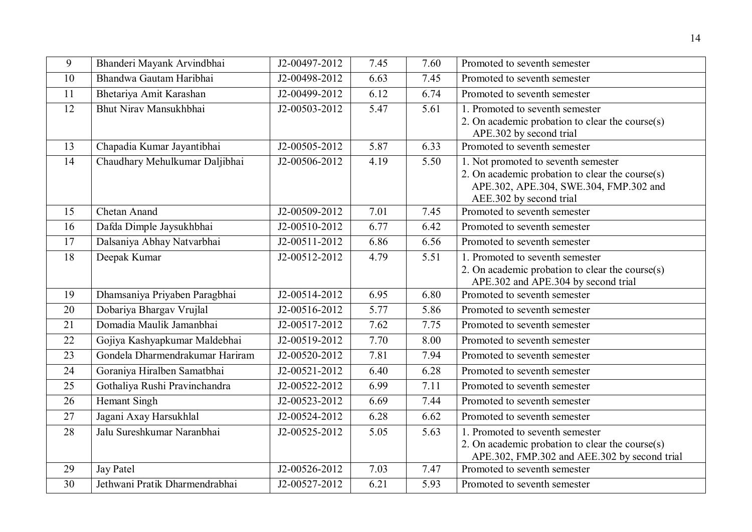| 9               | Bhanderi Mayank Arvindbhai      | J2-00497-2012 | 7.45 | 7.60 | Promoted to seventh semester                                                                                                                                |
|-----------------|---------------------------------|---------------|------|------|-------------------------------------------------------------------------------------------------------------------------------------------------------------|
| 10              | Bhandwa Gautam Haribhai         | J2-00498-2012 | 6.63 | 7.45 | Promoted to seventh semester                                                                                                                                |
| 11              | Bhetariya Amit Karashan         | J2-00499-2012 | 6.12 | 6.74 | Promoted to seventh semester                                                                                                                                |
| 12              | Bhut Nirav Mansukhbhai          | J2-00503-2012 | 5.47 | 5.61 | 1. Promoted to seventh semester<br>2. On academic probation to clear the course(s)<br>APE.302 by second trial                                               |
| 13              | Chapadia Kumar Jayantibhai      | J2-00505-2012 | 5.87 | 6.33 | Promoted to seventh semester                                                                                                                                |
| 14              | Chaudhary Mehulkumar Daljibhai  | J2-00506-2012 | 4.19 | 5.50 | 1. Not promoted to seventh semester<br>2. On academic probation to clear the course(s)<br>APE.302, APE.304, SWE.304, FMP.302 and<br>AEE.302 by second trial |
| 15              | Chetan Anand                    | J2-00509-2012 | 7.01 | 7.45 | Promoted to seventh semester                                                                                                                                |
| 16              | Dafda Dimple Jaysukhbhai        | J2-00510-2012 | 6.77 | 6.42 | Promoted to seventh semester                                                                                                                                |
| 17              | Dalsaniya Abhay Natvarbhai      | J2-00511-2012 | 6.86 | 6.56 | Promoted to seventh semester                                                                                                                                |
| 18              | Deepak Kumar                    | J2-00512-2012 | 4.79 | 5.51 | 1. Promoted to seventh semester<br>2. On academic probation to clear the course(s)<br>APE.302 and APE.304 by second trial                                   |
| 19              | Dhamsaniya Priyaben Paragbhai   | J2-00514-2012 | 6.95 | 6.80 | Promoted to seventh semester                                                                                                                                |
| 20              | Dobariya Bhargav Vrujlal        | J2-00516-2012 | 5.77 | 5.86 | Promoted to seventh semester                                                                                                                                |
| 21              | Domadia Maulik Jamanbhai        | J2-00517-2012 | 7.62 | 7.75 | Promoted to seventh semester                                                                                                                                |
| 22              | Gojiya Kashyapkumar Maldebhai   | J2-00519-2012 | 7.70 | 8.00 | Promoted to seventh semester                                                                                                                                |
| 23              | Gondela Dharmendrakumar Hariram | J2-00520-2012 | 7.81 | 7.94 | Promoted to seventh semester                                                                                                                                |
| 24              | Goraniya Hiralben Samatbhai     | J2-00521-2012 | 6.40 | 6.28 | Promoted to seventh semester                                                                                                                                |
| 25              | Gothaliya Rushi Pravinchandra   | J2-00522-2012 | 6.99 | 7.11 | Promoted to seventh semester                                                                                                                                |
| 26              | Hemant Singh                    | J2-00523-2012 | 6.69 | 7.44 | Promoted to seventh semester                                                                                                                                |
| 27              | Jagani Axay Harsukhlal          | J2-00524-2012 | 6.28 | 6.62 | Promoted to seventh semester                                                                                                                                |
| 28              | Jalu Sureshkumar Naranbhai      | J2-00525-2012 | 5.05 | 5.63 | 1. Promoted to seventh semester<br>2. On academic probation to clear the course(s)<br>APE.302, FMP.302 and AEE.302 by second trial                          |
| 29              | Jay Patel                       | J2-00526-2012 | 7.03 | 7.47 | Promoted to seventh semester                                                                                                                                |
| $\overline{30}$ | Jethwani Pratik Dharmendrabhai  | J2-00527-2012 | 6.21 | 5.93 | Promoted to seventh semester                                                                                                                                |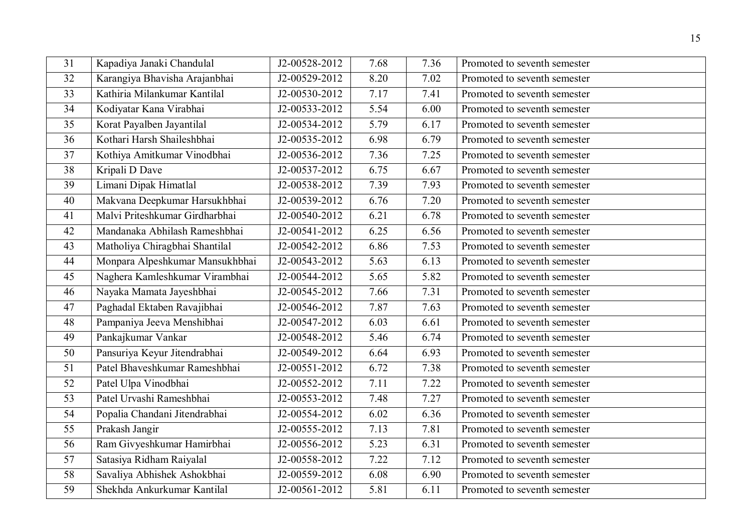| 31              | Kapadiya Janaki Chandulal       | J2-00528-2012               | 7.68 | 7.36 | Promoted to seventh semester |
|-----------------|---------------------------------|-----------------------------|------|------|------------------------------|
| 32              | Karangiya Bhavisha Arajanbhai   | J2-00529-2012               | 8.20 | 7.02 | Promoted to seventh semester |
| 33              | Kathiria Milankumar Kantilal    | J2-00530-2012               | 7.17 | 7.41 | Promoted to seventh semester |
| 34              | Kodiyatar Kana Virabhai         | $\overline{J2-0053}3-2012$  | 5.54 | 6.00 | Promoted to seventh semester |
| 35              | Korat Payalben Jayantilal       | J2-00534-2012               | 5.79 | 6.17 | Promoted to seventh semester |
| 36              | Kothari Harsh Shaileshbhai      | J2-00535-2012               | 6.98 | 6.79 | Promoted to seventh semester |
| 37              | Kothiya Amitkumar Vinodbhai     | J2-00536-2012               | 7.36 | 7.25 | Promoted to seventh semester |
| 38              | Kripali D Dave                  | J2-00537-2012               | 6.75 | 6.67 | Promoted to seventh semester |
| 39              | Limani Dipak Himatlal           | J2-00538-2012               | 7.39 | 7.93 | Promoted to seventh semester |
| 40              | Makvana Deepkumar Harsukhbhai   | J2-00539-2012               | 6.76 | 7.20 | Promoted to seventh semester |
| 41              | Malvi Priteshkumar Girdharbhai  | J2-00540-2012               | 6.21 | 6.78 | Promoted to seventh semester |
| 42              | Mandanaka Abhilash Rameshbhai   | J2-00541-2012               | 6.25 | 6.56 | Promoted to seventh semester |
| 43              | Matholiya Chiragbhai Shantilal  | J2-00542-2012               | 6.86 | 7.53 | Promoted to seventh semester |
| 44              | Monpara Alpeshkumar Mansukhbhai | J2-00543-2012               | 5.63 | 6.13 | Promoted to seventh semester |
| 45              | Naghera Kamleshkumar Virambhai  | J2-00544-2012               | 5.65 | 5.82 | Promoted to seventh semester |
| 46              | Nayaka Mamata Jayeshbhai        | J2-00545-2012               | 7.66 | 7.31 | Promoted to seventh semester |
| 47              | Paghadal Ektaben Ravajibhai     | J2-00546-2012               | 7.87 | 7.63 | Promoted to seventh semester |
| 48              | Pampaniya Jeeva Menshibhai      | J2-00547-2012               | 6.03 | 6.61 | Promoted to seventh semester |
| 49              | Pankajkumar Vankar              | J2-00548-2012               | 5.46 | 6.74 | Promoted to seventh semester |
| 50              | Pansuriya Keyur Jitendrabhai    | J2-00549-2012               | 6.64 | 6.93 | Promoted to seventh semester |
| 51              | Patel Bhaveshkumar Rameshbhai   | J2-00551-2012               | 6.72 | 7.38 | Promoted to seventh semester |
| 52              | Patel Ulpa Vinodbhai            | J2-00552-2012               | 7.11 | 7.22 | Promoted to seventh semester |
| 53              | Patel Urvashi Rameshbhai        | J2-00553-2012               | 7.48 | 7.27 | Promoted to seventh semester |
| 54              | Popalia Chandani Jitendrabhai   | J2-00554-2012               | 6.02 | 6.36 | Promoted to seventh semester |
| $\overline{55}$ | Prakash Jangir                  | $\overline{J2-00555}$ -2012 | 7.13 | 7.81 | Promoted to seventh semester |
| 56              | Ram Givyeshkumar Hamirbhai      | J2-00556-2012               | 5.23 | 6.31 | Promoted to seventh semester |
| 57              | Satasiya Ridham Raiyalal        | J2-00558-2012               | 7.22 | 7.12 | Promoted to seventh semester |
| 58              | Savaliya Abhishek Ashokbhai     | J2-00559-2012               | 6.08 | 6.90 | Promoted to seventh semester |
| 59              | Shekhda Ankurkumar Kantilal     | J2-00561-2012               | 5.81 | 6.11 | Promoted to seventh semester |
|                 |                                 |                             |      |      |                              |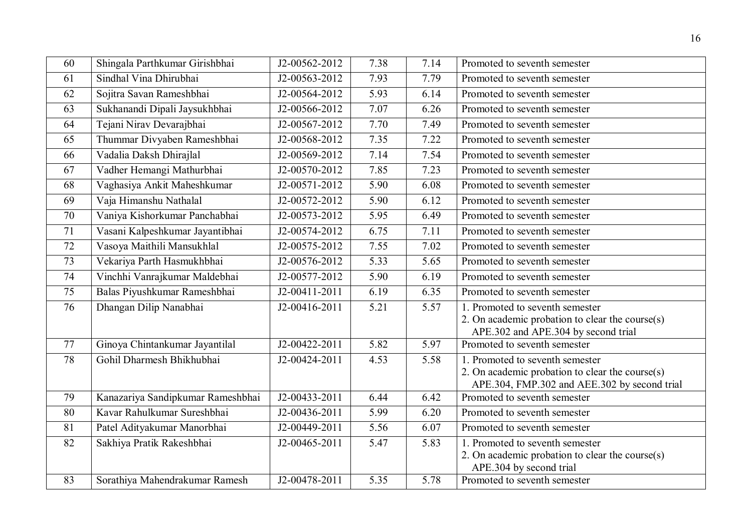| 60              | Shingala Parthkumar Girishbhai    | J2-00562-2012              | 7.38              | 7.14 | Promoted to seventh semester                                                           |
|-----------------|-----------------------------------|----------------------------|-------------------|------|----------------------------------------------------------------------------------------|
| 61              | Sindhal Vina Dhirubhai            | $\overline{J2-00563-2012}$ | 7.93              | 7.79 | Promoted to seventh semester                                                           |
| 62              | Sojitra Savan Rameshbhai          | J2-00564-2012              | 5.93              | 6.14 | Promoted to seventh semester                                                           |
| 63              | Sukhanandi Dipali Jaysukhbhai     | J2-00566-2012              | 7.07              | 6.26 | Promoted to seventh semester                                                           |
| 64              | Tejani Nirav Devarajbhai          | J2-00567-2012              | 7.70              | 7.49 | Promoted to seventh semester                                                           |
| 65              | Thummar Divyaben Rameshbhai       | J2-00568-2012              | 7.35              | 7.22 | Promoted to seventh semester                                                           |
| 66              | Vadalia Daksh Dhirajlal           | J2-00569-2012              | 7.14              | 7.54 | Promoted to seventh semester                                                           |
| 67              | Vadher Hemangi Mathurbhai         | J2-00570-2012              | 7.85              | 7.23 | Promoted to seventh semester                                                           |
| 68              | Vaghasiya Ankit Maheshkumar       | J2-00571-2012              | 5.90              | 6.08 | Promoted to seventh semester                                                           |
| 69              | Vaja Himanshu Nathalal            | J2-00572-2012              | 5.90              | 6.12 | Promoted to seventh semester                                                           |
| $70\,$          | Vaniya Kishorkumar Panchabhai     | J2-00573-2012              | 5.95              | 6.49 | Promoted to seventh semester                                                           |
| 71              | Vasani Kalpeshkumar Jayantibhai   | J2-00574-2012              | 6.75              | 7.11 | Promoted to seventh semester                                                           |
| 72              | Vasoya Maithili Mansukhlal        | J2-00575-2012              | 7.55              | 7.02 | Promoted to seventh semester                                                           |
| 73              | Vekariya Parth Hasmukhbhai        | J2-00576-2012              | 5.33              | 5.65 | Promoted to seventh semester                                                           |
| 74              | Vinchhi Vanrajkumar Maldebhai     | J2-00577-2012              | 5.90              | 6.19 | Promoted to seventh semester                                                           |
| 75              | Balas Piyushkumar Rameshbhai      | J2-00411-2011              | 6.19              | 6.35 | Promoted to seventh semester                                                           |
| 76              | Dhangan Dilip Nanabhai            | J2-00416-2011              | 5.21              | 5.57 | 1. Promoted to seventh semester                                                        |
|                 |                                   |                            |                   |      | 2. On academic probation to clear the course(s)<br>APE.302 and APE.304 by second trial |
| 77              | Ginoya Chintankumar Jayantilal    | J2-00422-2011              | 5.82              | 5.97 | Promoted to seventh semester                                                           |
| 78              | Gohil Dharmesh Bhikhubhai         | J2-00424-2011              | 4.53              | 5.58 | 1. Promoted to seventh semester                                                        |
|                 |                                   |                            |                   |      | 2. On academic probation to clear the course(s)                                        |
|                 |                                   |                            |                   |      | APE.304, FMP.302 and AEE.302 by second trial                                           |
| 79              | Kanazariya Sandipkumar Rameshbhai | J2-00433-2011              | 6.44              | 6.42 | Promoted to seventh semester                                                           |
| 80              | Kavar Rahulkumar Sureshbhai       | J2-00436-2011              | 5.99              | 6.20 | Promoted to seventh semester                                                           |
| 81              | Patel Adityakumar Manorbhai       | J2-00449-2011              | 5.56              | 6.07 | Promoted to seventh semester                                                           |
| 82              | Sakhiya Pratik Rakeshbhai         | J2-00465-2011              | 5.47              | 5.83 | 1. Promoted to seventh semester                                                        |
|                 |                                   |                            |                   |      | 2. On academic probation to clear the course(s)                                        |
| $\overline{83}$ |                                   | J2-00478-2011              | $\overline{5.35}$ | 5.78 | APE.304 by second trial<br>Promoted to seventh semester                                |
|                 | Sorathiya Mahendrakumar Ramesh    |                            |                   |      |                                                                                        |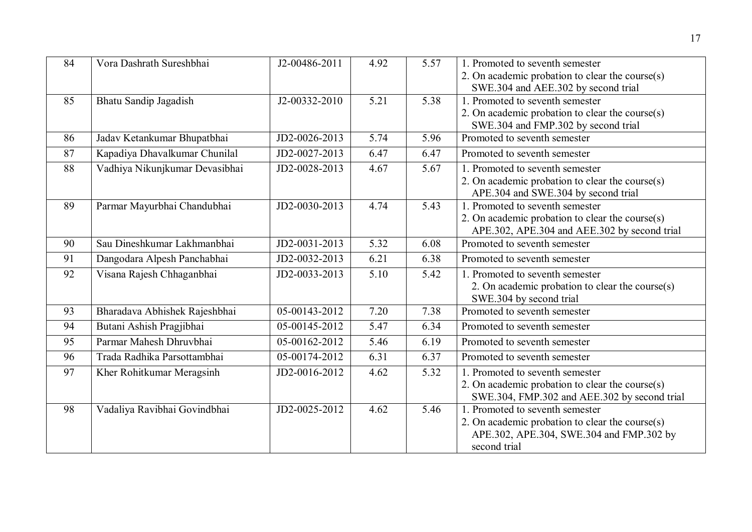| 84 | Vora Dashrath Sureshbhai       | J2-00486-2011 | 4.92 | 5.57 | 1. Promoted to seventh semester<br>2. On academic probation to clear the course $(s)$<br>SWE.304 and AEE.302 by second trial                   |
|----|--------------------------------|---------------|------|------|------------------------------------------------------------------------------------------------------------------------------------------------|
| 85 | Bhatu Sandip Jagadish          | J2-00332-2010 | 5.21 | 5.38 | 1. Promoted to seventh semester<br>2. On academic probation to clear the course(s)<br>SWE.304 and FMP.302 by second trial                      |
| 86 | Jadav Ketankumar Bhupatbhai    | JD2-0026-2013 | 5.74 | 5.96 | Promoted to seventh semester                                                                                                                   |
| 87 | Kapadiya Dhavalkumar Chunilal  | JD2-0027-2013 | 6.47 | 6.47 | Promoted to seventh semester                                                                                                                   |
| 88 | Vadhiya Nikunjkumar Devasibhai | JD2-0028-2013 | 4.67 | 5.67 | 1. Promoted to seventh semester<br>2. On academic probation to clear the course(s)<br>APE.304 and SWE.304 by second trial                      |
| 89 | Parmar Mayurbhai Chandubhai    | JD2-0030-2013 | 4.74 | 5.43 | 1. Promoted to seventh semester<br>2. On academic probation to clear the course(s)<br>APE.302, APE.304 and AEE.302 by second trial             |
| 90 | Sau Dineshkumar Lakhmanbhai    | JD2-0031-2013 | 5.32 | 6.08 | Promoted to seventh semester                                                                                                                   |
| 91 | Dangodara Alpesh Panchabhai    | JD2-0032-2013 | 6.21 | 6.38 | Promoted to seventh semester                                                                                                                   |
| 92 | Visana Rajesh Chhaganbhai      | JD2-0033-2013 | 5.10 | 5.42 | 1. Promoted to seventh semester<br>2. On academic probation to clear the course(s)<br>SWE.304 by second trial                                  |
| 93 | Bharadava Abhishek Rajeshbhai  | 05-00143-2012 | 7.20 | 7.38 | Promoted to seventh semester                                                                                                                   |
| 94 | Butani Ashish Pragjibhai       | 05-00145-2012 | 5.47 | 6.34 | Promoted to seventh semester                                                                                                                   |
| 95 | Parmar Mahesh Dhruvbhai        | 05-00162-2012 | 5.46 | 6.19 | Promoted to seventh semester                                                                                                                   |
| 96 | Trada Radhika Parsottambhai    | 05-00174-2012 | 6.31 | 6.37 | Promoted to seventh semester                                                                                                                   |
| 97 | Kher Rohitkumar Meragsinh      | JD2-0016-2012 | 4.62 | 5.32 | 1. Promoted to seventh semester<br>2. On academic probation to clear the course(s)<br>SWE.304, FMP.302 and AEE.302 by second trial             |
| 98 | Vadaliya Ravibhai Govindbhai   | JD2-0025-2012 | 4.62 | 5.46 | 1. Promoted to seventh semester<br>2. On academic probation to clear the course(s)<br>APE.302, APE.304, SWE.304 and FMP.302 by<br>second trial |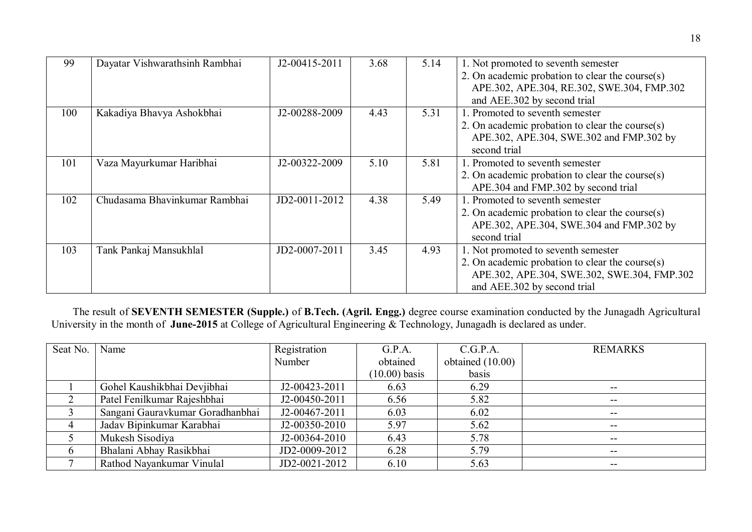| 99  | Dayatar Vishwarathsinh Rambhai | J2-00415-2011 | 3.68 | 5.14 | 1. Not promoted to seventh semester<br>2. On academic probation to clear the course(s)<br>APE.302, APE.304, RE.302, SWE.304, FMP.302<br>and AEE.302 by second trial  |
|-----|--------------------------------|---------------|------|------|----------------------------------------------------------------------------------------------------------------------------------------------------------------------|
| 100 | Kakadiya Bhavya Ashokbhai      | J2-00288-2009 | 4.43 | 5.31 | . Promoted to seventh semester<br>2. On academic probation to clear the course(s)<br>APE.302, APE.304, SWE.302 and FMP.302 by<br>second trial                        |
| 101 | Vaza Mayurkumar Haribhai       | J2-00322-2009 | 5.10 | 5.81 | 1. Promoted to seventh semester<br>2. On academic probation to clear the course $(s)$<br>APE.304 and FMP.302 by second trial                                         |
| 102 | Chudasama Bhavinkumar Rambhai  | JD2-0011-2012 | 4.38 | 5.49 | 1. Promoted to seventh semester<br>2. On academic probation to clear the course $(s)$<br>APE.302, APE.304, SWE.304 and FMP.302 by<br>second trial                    |
| 103 | Tank Pankaj Mansukhlal         | JD2-0007-2011 | 3.45 | 4.93 | 1. Not promoted to seventh semester<br>2. On academic probation to clear the course(s)<br>APE.302, APE.304, SWE.302, SWE.304, FMP.302<br>and AEE.302 by second trial |

 The result of **SEVENTH SEMESTER (Supple.)** of **B.Tech. (Agril. Engg.)** degree course examination conducted by the Junagadh Agricultural University in the month of **June-2015** at College of Agricultural Engineering & Technology, Junagadh is declared as under.

| Seat No. | Name                             | Registration  | G.P.A.          | C.G.P.A.           | <b>REMARKS</b>                        |
|----------|----------------------------------|---------------|-----------------|--------------------|---------------------------------------|
|          |                                  | Number        | obtained        | obtained $(10.00)$ |                                       |
|          |                                  |               | $(10.00)$ basis | basis              |                                       |
|          | Gohel Kaushikbhai Devjibhai      | J2-00423-2011 | 6.63            | 6.29               | $- -$                                 |
|          | Patel Fenilkumar Rajeshbhai      | J2-00450-2011 | 6.56            | 5.82               | $\hspace{0.05cm}$ – $\hspace{0.05cm}$ |
|          | Sangani Gauravkumar Goradhanbhai | J2-00467-2011 | 6.03            | 6.02               | $\overline{\phantom{m}}$              |
| 4        | Jadav Bipinkumar Karabhai        | J2-00350-2010 | 5.97            | 5.62               | $\qquad \qquad -$                     |
|          | Mukesh Sisodiya                  | J2-00364-2010 | 6.43            | 5.78               | $- -$                                 |
| $\sigma$ | Bhalani Abhay Rasikbhai          | JD2-0009-2012 | 6.28            | 5.79               | $\hspace{0.05cm}$ – $\hspace{0.05cm}$ |
|          | Rathod Nayankumar Vinulal        | JD2-0021-2012 | 6.10            | 5.63               | --                                    |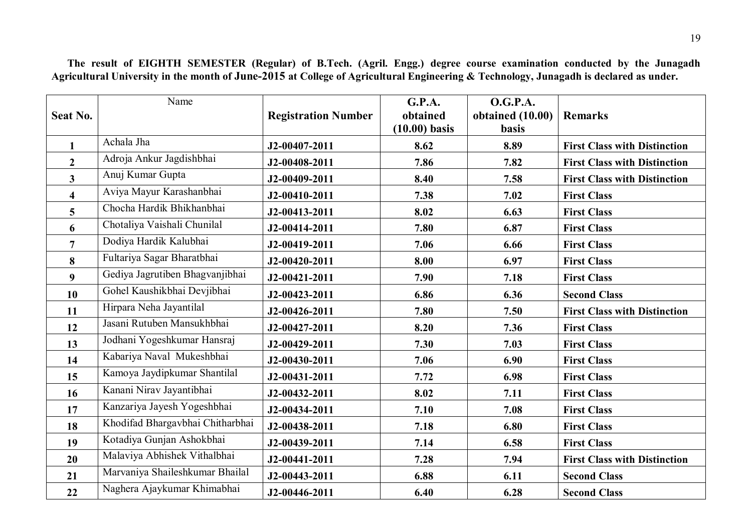**The result of EIGHTH SEMESTER (Regular) of B.Tech. (Agril. Engg.) degree course examination conducted by the Junagadh Agricultural University in the month of June-2015 at College of Agricultural Engineering & Technology, Junagadh is declared as under.**

| <b>Seat No.</b>         | Name                             | <b>Registration Number</b> | G.P.A.<br>obtained<br>$(10.00)$ basis | <b>O.G.P.A.</b><br>obtained $(10.00)$<br>basis | <b>Remarks</b>                      |
|-------------------------|----------------------------------|----------------------------|---------------------------------------|------------------------------------------------|-------------------------------------|
| $\mathbf{1}$            | Achala Jha                       | J2-00407-2011              | 8.62                                  | 8.89                                           | <b>First Class with Distinction</b> |
| $\overline{2}$          | Adroja Ankur Jagdishbhai         | J2-00408-2011              | 7.86                                  | 7.82                                           | <b>First Class with Distinction</b> |
| 3 <sup>1</sup>          | Anuj Kumar Gupta                 | J2-00409-2011              | 8.40                                  | 7.58                                           | <b>First Class with Distinction</b> |
| $\overline{\mathbf{4}}$ | Aviya Mayur Karashanbhai         | J2-00410-2011              | 7.38                                  | 7.02                                           | <b>First Class</b>                  |
| $5\overline{)}$         | Chocha Hardik Bhikhanbhai        | J2-00413-2011              | 8.02                                  | 6.63                                           | <b>First Class</b>                  |
| 6                       | Chotaliya Vaishali Chunilal      | J2-00414-2011              | 7.80                                  | 6.87                                           | <b>First Class</b>                  |
| $\overline{7}$          | Dodiya Hardik Kalubhai           | J2-00419-2011              | 7.06                                  | 6.66                                           | <b>First Class</b>                  |
| 8                       | Fultariya Sagar Bharatbhai       | J2-00420-2011              | 8.00                                  | 6.97                                           | <b>First Class</b>                  |
| $\boldsymbol{9}$        | Gediya Jagrutiben Bhagvanjibhai  | J2-00421-2011              | 7.90                                  | 7.18                                           | <b>First Class</b>                  |
| 10                      | Gohel Kaushikbhai Devjibhai      | J2-00423-2011              | 6.86                                  | 6.36                                           | <b>Second Class</b>                 |
| 11                      | Hirpara Neha Jayantilal          | J2-00426-2011              | 7.80                                  | 7.50                                           | <b>First Class with Distinction</b> |
| 12                      | Jasani Rutuben Mansukhbhai       | J2-00427-2011              | 8.20                                  | 7.36                                           | <b>First Class</b>                  |
| 13                      | Jodhani Yogeshkumar Hansraj      | J2-00429-2011              | 7.30                                  | 7.03                                           | <b>First Class</b>                  |
| 14                      | Kabariya Naval Mukeshbhai        | J2-00430-2011              | 7.06                                  | 6.90                                           | <b>First Class</b>                  |
| 15                      | Kamoya Jaydipkumar Shantilal     | J2-00431-2011              | 7.72                                  | 6.98                                           | <b>First Class</b>                  |
| 16                      | Kanani Nirav Jayantibhai         | J2-00432-2011              | 8.02                                  | 7.11                                           | <b>First Class</b>                  |
| 17                      | Kanzariya Jayesh Yogeshbhai      | J2-00434-2011              | 7.10                                  | 7.08                                           | <b>First Class</b>                  |
| 18                      | Khodifad Bhargavbhai Chitharbhai | J2-00438-2011              | 7.18                                  | 6.80                                           | <b>First Class</b>                  |
| 19                      | Kotadiya Gunjan Ashokbhai        | J2-00439-2011              | 7.14                                  | 6.58                                           | <b>First Class</b>                  |
| 20                      | Malaviya Abhishek Vithalbhai     | J2-00441-2011              | 7.28                                  | 7.94                                           | <b>First Class with Distinction</b> |
| 21                      | Marvaniya Shaileshkumar Bhailal  | J2-00443-2011              | 6.88                                  | 6.11                                           | <b>Second Class</b>                 |
| 22                      | Naghera Ajaykumar Khimabhai      | J2-00446-2011              | 6.40                                  | 6.28                                           | <b>Second Class</b>                 |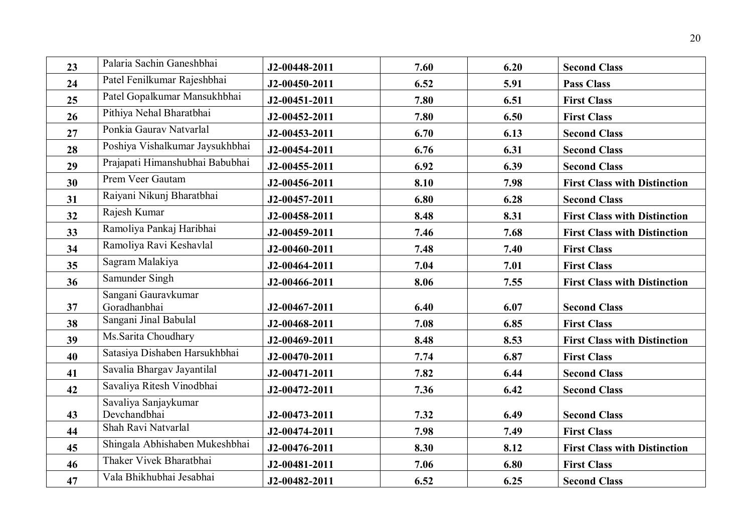| 23 | Palaria Sachin Ganeshbhai       | J2-00448-2011 | 7.60 | 6.20 | <b>Second Class</b>                 |
|----|---------------------------------|---------------|------|------|-------------------------------------|
| 24 | Patel Fenilkumar Rajeshbhai     | J2-00450-2011 | 6.52 | 5.91 | <b>Pass Class</b>                   |
| 25 | Patel Gopalkumar Mansukhbhai    | J2-00451-2011 | 7.80 | 6.51 | <b>First Class</b>                  |
| 26 | Pithiya Nehal Bharatbhai        | J2-00452-2011 | 7.80 | 6.50 | <b>First Class</b>                  |
| 27 | Ponkia Gauray Natvarlal         | J2-00453-2011 | 6.70 | 6.13 | <b>Second Class</b>                 |
| 28 | Poshiya Vishalkumar Jaysukhbhai | J2-00454-2011 | 6.76 | 6.31 | <b>Second Class</b>                 |
| 29 | Prajapati Himanshubhai Babubhai | J2-00455-2011 | 6.92 | 6.39 | <b>Second Class</b>                 |
| 30 | Prem Veer Gautam                | J2-00456-2011 | 8.10 | 7.98 | <b>First Class with Distinction</b> |
| 31 | Raiyani Nikunj Bharatbhai       | J2-00457-2011 | 6.80 | 6.28 | <b>Second Class</b>                 |
| 32 | Rajesh Kumar                    | J2-00458-2011 | 8.48 | 8.31 | <b>First Class with Distinction</b> |
| 33 | Ramoliya Pankaj Haribhai        | J2-00459-2011 | 7.46 | 7.68 | <b>First Class with Distinction</b> |
| 34 | Ramoliya Ravi Keshavlal         | J2-00460-2011 | 7.48 | 7.40 | <b>First Class</b>                  |
| 35 | Sagram Malakiya                 | J2-00464-2011 | 7.04 | 7.01 | <b>First Class</b>                  |
| 36 | Samunder Singh                  | J2-00466-2011 | 8.06 | 7.55 | <b>First Class with Distinction</b> |
|    | Sangani Gauravkumar             |               |      |      |                                     |
| 37 | Goradhanbhai                    | J2-00467-2011 | 6.40 | 6.07 | <b>Second Class</b>                 |
| 38 | Sangani Jinal Babulal           | J2-00468-2011 | 7.08 | 6.85 | <b>First Class</b>                  |
| 39 | Ms.Sarita Choudhary             | J2-00469-2011 | 8.48 | 8.53 | <b>First Class with Distinction</b> |
| 40 | Satasiya Dishaben Harsukhbhai   | J2-00470-2011 | 7.74 | 6.87 | <b>First Class</b>                  |
| 41 | Savalia Bhargav Jayantilal      | J2-00471-2011 | 7.82 | 6.44 | <b>Second Class</b>                 |
| 42 | Savaliya Ritesh Vinodbhai       | J2-00472-2011 | 7.36 | 6.42 | <b>Second Class</b>                 |
|    | Savaliya Sanjaykumar            |               |      |      |                                     |
| 43 | Devchandbhai                    | J2-00473-2011 | 7.32 | 6.49 | <b>Second Class</b>                 |
| 44 | Shah Ravi Natvarlal             | J2-00474-2011 | 7.98 | 7.49 | <b>First Class</b>                  |
| 45 | Shingala Abhishaben Mukeshbhai  | J2-00476-2011 | 8.30 | 8.12 | <b>First Class with Distinction</b> |
| 46 | Thaker Vivek Bharatbhai         | J2-00481-2011 | 7.06 | 6.80 | <b>First Class</b>                  |
| 47 | Vala Bhikhubhai Jesabhai        | J2-00482-2011 | 6.52 | 6.25 | <b>Second Class</b>                 |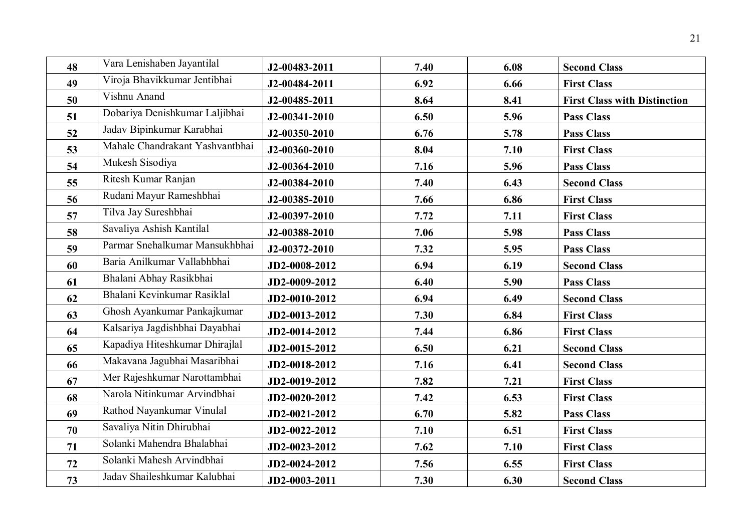| 48 | Vara Lenishaben Jayantilal      | J2-00483-2011 | 7.40 | 6.08 | <b>Second Class</b>                 |
|----|---------------------------------|---------------|------|------|-------------------------------------|
| 49 | Viroja Bhavikkumar Jentibhai    | J2-00484-2011 | 6.92 | 6.66 | <b>First Class</b>                  |
| 50 | Vishnu Anand                    | J2-00485-2011 | 8.64 | 8.41 | <b>First Class with Distinction</b> |
| 51 | Dobariya Denishkumar Laljibhai  | J2-00341-2010 | 6.50 | 5.96 | <b>Pass Class</b>                   |
| 52 | Jadav Bipinkumar Karabhai       | J2-00350-2010 | 6.76 | 5.78 | <b>Pass Class</b>                   |
| 53 | Mahale Chandrakant Yashvantbhai | J2-00360-2010 | 8.04 | 7.10 | <b>First Class</b>                  |
| 54 | Mukesh Sisodiya                 | J2-00364-2010 | 7.16 | 5.96 | <b>Pass Class</b>                   |
| 55 | Ritesh Kumar Ranjan             | J2-00384-2010 | 7.40 | 6.43 | <b>Second Class</b>                 |
| 56 | Rudani Mayur Rameshbhai         | J2-00385-2010 | 7.66 | 6.86 | <b>First Class</b>                  |
| 57 | Tilva Jay Sureshbhai            | J2-00397-2010 | 7.72 | 7.11 | <b>First Class</b>                  |
| 58 | Savaliya Ashish Kantilal        | J2-00388-2010 | 7.06 | 5.98 | <b>Pass Class</b>                   |
| 59 | Parmar Snehalkumar Mansukhbhai  | J2-00372-2010 | 7.32 | 5.95 | <b>Pass Class</b>                   |
| 60 | Baria Anilkumar Vallabhbhai     | JD2-0008-2012 | 6.94 | 6.19 | <b>Second Class</b>                 |
| 61 | Bhalani Abhay Rasikbhai         | JD2-0009-2012 | 6.40 | 5.90 | <b>Pass Class</b>                   |
| 62 | Bhalani Kevinkumar Rasiklal     | JD2-0010-2012 | 6.94 | 6.49 | <b>Second Class</b>                 |
| 63 | Ghosh Ayankumar Pankajkumar     | JD2-0013-2012 | 7.30 | 6.84 | <b>First Class</b>                  |
| 64 | Kalsariya Jagdishbhai Dayabhai  | JD2-0014-2012 | 7.44 | 6.86 | <b>First Class</b>                  |
| 65 | Kapadiya Hiteshkumar Dhirajlal  | JD2-0015-2012 | 6.50 | 6.21 | <b>Second Class</b>                 |
| 66 | Makavana Jagubhai Masaribhai    | JD2-0018-2012 | 7.16 | 6.41 | <b>Second Class</b>                 |
| 67 | Mer Rajeshkumar Narottambhai    | JD2-0019-2012 | 7.82 | 7.21 | <b>First Class</b>                  |
| 68 | Narola Nitinkumar Arvindbhai    | JD2-0020-2012 | 7.42 | 6.53 | <b>First Class</b>                  |
| 69 | Rathod Nayankumar Vinulal       | JD2-0021-2012 | 6.70 | 5.82 | <b>Pass Class</b>                   |
| 70 | Savaliya Nitin Dhirubhai        | JD2-0022-2012 | 7.10 | 6.51 | <b>First Class</b>                  |
| 71 | Solanki Mahendra Bhalabhai      | JD2-0023-2012 | 7.62 | 7.10 | <b>First Class</b>                  |
| 72 | Solanki Mahesh Arvindbhai       | JD2-0024-2012 | 7.56 | 6.55 | <b>First Class</b>                  |
| 73 | Jadav Shaileshkumar Kalubhai    | JD2-0003-2011 | 7.30 | 6.30 | <b>Second Class</b>                 |